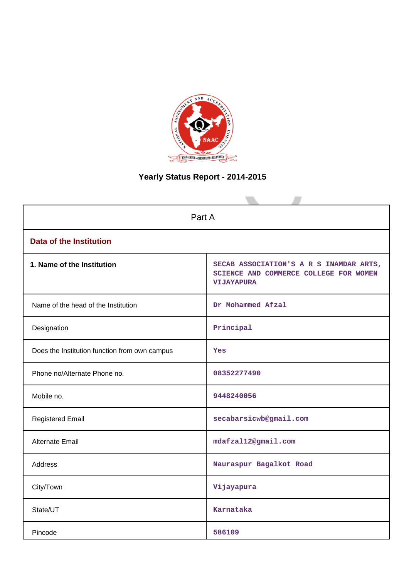

# **Yearly Status Report - 2014-2015**

| Part A                                        |                                                                                                        |  |  |
|-----------------------------------------------|--------------------------------------------------------------------------------------------------------|--|--|
| <b>Data of the Institution</b>                |                                                                                                        |  |  |
| 1. Name of the Institution                    | SECAB ASSOCIATION'S A R S INAMDAR ARTS,<br>SCIENCE AND COMMERCE COLLEGE FOR WOMEN<br><b>VIJAYAPURA</b> |  |  |
| Name of the head of the Institution           | Dr Mohammed Afzal                                                                                      |  |  |
| Designation                                   | Principal                                                                                              |  |  |
| Does the Institution function from own campus | Yes                                                                                                    |  |  |
| Phone no/Alternate Phone no.                  | 08352277490                                                                                            |  |  |
| Mobile no.                                    | 9448240056                                                                                             |  |  |
| <b>Registered Email</b>                       | secabarsicwb@gmail.com                                                                                 |  |  |
| <b>Alternate Email</b>                        | mdafzal12@gmail.com                                                                                    |  |  |
| <b>Address</b>                                | Nauraspur Bagalkot Road                                                                                |  |  |
| City/Town                                     | Vijayapura                                                                                             |  |  |
| State/UT                                      | Karnataka                                                                                              |  |  |
| Pincode                                       | 586109                                                                                                 |  |  |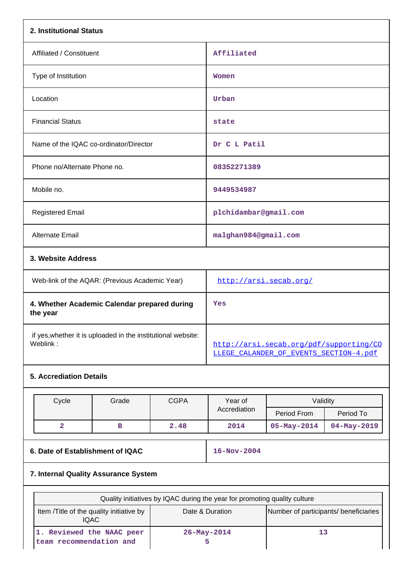| 2. Institutional Status                                                  |                                                                                   |  |  |
|--------------------------------------------------------------------------|-----------------------------------------------------------------------------------|--|--|
| Affiliated / Constituent                                                 | Affiliated                                                                        |  |  |
| Type of Institution                                                      | Women                                                                             |  |  |
| Location                                                                 | Urban                                                                             |  |  |
| <b>Financial Status</b>                                                  | state                                                                             |  |  |
| Name of the IQAC co-ordinator/Director                                   | Dr C L Patil                                                                      |  |  |
| Phone no/Alternate Phone no.                                             | 08352271389                                                                       |  |  |
| Mobile no.                                                               | 9449534987                                                                        |  |  |
| <b>Registered Email</b>                                                  | plchidambar@gmail.com                                                             |  |  |
| Alternate Email                                                          | malghan984@gmail.com                                                              |  |  |
| 3. Website Address                                                       |                                                                                   |  |  |
| Web-link of the AQAR: (Previous Academic Year)                           | http://arsi.secab.org/                                                            |  |  |
| 4. Whether Academic Calendar prepared during<br>the year                 | Yes                                                                               |  |  |
| if yes, whether it is uploaded in the institutional website:<br>Weblink: | http://arsi.secab.org/pdf/supporting/CO<br>LLEGE CALANDER OF EVENTS SECTION-4.pdf |  |  |
| <b>5. Accrediation Details</b>                                           |                                                                                   |  |  |

|                                      | Cycle | Grade | <b>CGPA</b>       | Year of<br>Accrediation | Validity          |                   |
|--------------------------------------|-------|-------|-------------------|-------------------------|-------------------|-------------------|
|                                      |       |       |                   |                         | Period From       | Period To         |
|                                      | 2     | в     | 2.48              | 2014                    | $05 - May - 2014$ | $04 - May - 2019$ |
| 6. Date of Establishment of IQAC     |       |       | $16 - Nov - 2004$ |                         |                   |                   |
| 7. Internal Quality Assurance System |       |       |                   |                         |                   |                   |

| Quality initiatives by IQAC during the year for promoting quality culture |                   |                                       |  |  |
|---------------------------------------------------------------------------|-------------------|---------------------------------------|--|--|
| Item /Title of the quality initiative by<br><b>IQAC</b>                   | Date & Duration   | Number of participants/ beneficiaries |  |  |
| 1. Reviewed the NAAC peer<br>team recommendation and                      | $26 - May - 2014$ |                                       |  |  |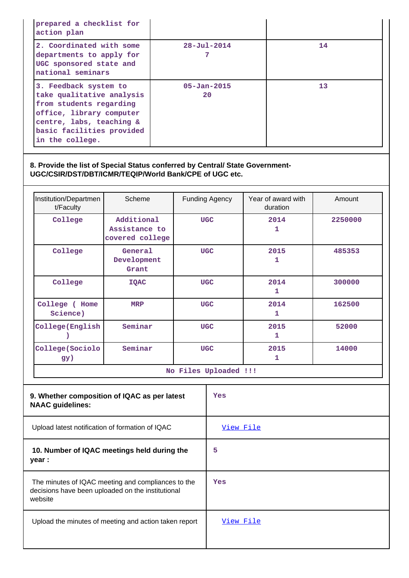| prepared a checklist for<br>action plan                                                                                                                                               |                         |    |
|---------------------------------------------------------------------------------------------------------------------------------------------------------------------------------------|-------------------------|----|
| 2. Coordinated with some<br>departments to apply for<br>UGC sponsored state and<br>national seminars                                                                                  | $28 - Ju1 - 2014$       | 14 |
| 3. Feedback system to<br>take qualitative analysis<br>from students regarding<br>office, library computer<br>centre, labs, teaching &<br>basic facilities provided<br>in the college. | $05 - Jan - 2015$<br>20 | 13 |

# **8. Provide the list of Special Status conferred by Central/ State Government-UGC/CSIR/DST/DBT/ICMR/TEQIP/World Bank/CPE of UGC etc.**

| Institution/Departmen<br>t/Faculty | Scheme                                         | Funding Agency | Year of award with<br>duration | Amount  |
|------------------------------------|------------------------------------------------|----------------|--------------------------------|---------|
| College                            | Additional<br>Assistance to<br>covered college | <b>UGC</b>     | 2014<br>1                      | 2250000 |
| College                            | General<br>Development<br>Grant                | <b>UGC</b>     | 2015<br>1                      | 485353  |
| College                            | <b>IQAC</b>                                    | <b>UGC</b>     | 2014<br>1                      | 300000  |
| College (<br>Home<br>Science)      | <b>MRP</b>                                     | <b>UGC</b>     | 2014<br>1                      | 162500  |
| College (English                   | Seminar                                        | <b>UGC</b>     | 2015<br>1                      | 52000   |
| College (Sociolo<br>gy)            | Seminar                                        | <b>UGC</b>     | 2015<br>1                      | 14000   |

**No Files Uploaded !!!**

| 9. Whether composition of IQAC as per latest<br><b>NAAC</b> guidelines:                                            | Yes       |
|--------------------------------------------------------------------------------------------------------------------|-----------|
| Upload latest notification of formation of IQAC                                                                    | View File |
| 10. Number of IQAC meetings held during the<br>year :                                                              | 5         |
| The minutes of IQAC meeting and compliances to the<br>decisions have been uploaded on the institutional<br>website | Yes       |
| Upload the minutes of meeting and action taken report                                                              | View File |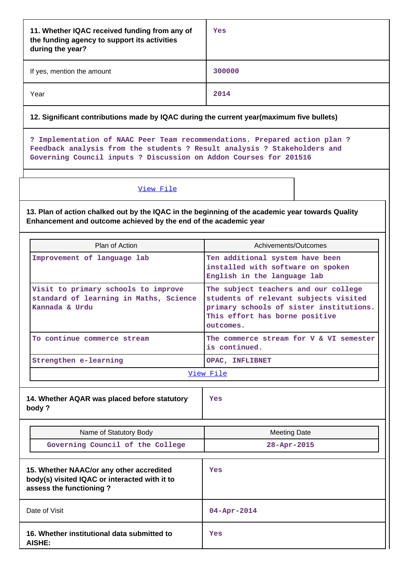| 11. Whether IQAC received funding from any of<br>the funding agency to support its activities<br>during the year?                                                                                                           | Yes                                                                                                                                                                     |
|-----------------------------------------------------------------------------------------------------------------------------------------------------------------------------------------------------------------------------|-------------------------------------------------------------------------------------------------------------------------------------------------------------------------|
| If yes, mention the amount                                                                                                                                                                                                  | 300000                                                                                                                                                                  |
| Year                                                                                                                                                                                                                        | 2014                                                                                                                                                                    |
| 12. Significant contributions made by IQAC during the current year(maximum five bullets)                                                                                                                                    |                                                                                                                                                                         |
| ? Implementation of NAAC Peer Team recommendations. Prepared action plan ?<br>Feedback analysis from the students ? Result analysis ? Stakeholders and<br>Governing Council inputs ? Discussion on Addon Courses for 201516 |                                                                                                                                                                         |
| View File                                                                                                                                                                                                                   |                                                                                                                                                                         |
| 13. Plan of action chalked out by the IQAC in the beginning of the academic year towards Quality<br>Enhancement and outcome achieved by the end of the academic year                                                        |                                                                                                                                                                         |
| Plan of Action                                                                                                                                                                                                              | Achivements/Outcomes                                                                                                                                                    |
| Improvement of language lab                                                                                                                                                                                                 | Ten additional system have been<br>installed with software on spoken<br>English in the language lab                                                                     |
| Visit to primary schools to improve<br>standard of learning in Maths, Science<br>Kannada & Urdu                                                                                                                             | The subject teachers and our college<br>students of relevant subjects visited<br>primary schools of sister institutions.<br>This effort has borne positive<br>outcomes. |
| To continue commerce stream                                                                                                                                                                                                 | The commerce stream for V & VI semester<br>is continued.                                                                                                                |
| Strengthen e-learning                                                                                                                                                                                                       | OPAC, INFLIBNET                                                                                                                                                         |
|                                                                                                                                                                                                                             | View File                                                                                                                                                               |
| 14. Whether AQAR was placed before statutory<br>body?                                                                                                                                                                       | Yes                                                                                                                                                                     |
| Name of Statutory Body                                                                                                                                                                                                      | <b>Meeting Date</b>                                                                                                                                                     |
| Governing Council of the College                                                                                                                                                                                            | 28-Apr-2015                                                                                                                                                             |
| 15. Whether NAAC/or any other accredited<br>body(s) visited IQAC or interacted with it to<br>assess the functioning?                                                                                                        | Yes                                                                                                                                                                     |
| Date of Visit                                                                                                                                                                                                               | $04 - Apr - 2014$                                                                                                                                                       |
| 16. Whether institutional data submitted to<br><b>AISHE:</b>                                                                                                                                                                | Yes                                                                                                                                                                     |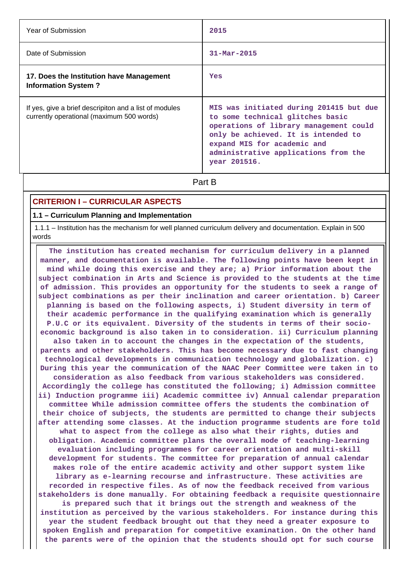| Year of Submission                                                                                  | 2015                                                                                                                                                                                                                                                |
|-----------------------------------------------------------------------------------------------------|-----------------------------------------------------------------------------------------------------------------------------------------------------------------------------------------------------------------------------------------------------|
| Date of Submission                                                                                  | $31 - \text{Mar} - 2015$                                                                                                                                                                                                                            |
| 17. Does the Institution have Management<br><b>Information System?</b>                              | Yes                                                                                                                                                                                                                                                 |
| If yes, give a brief descripiton and a list of modules<br>currently operational (maximum 500 words) | MIS was initiated during 201415 but due<br>to some technical glitches basic<br>operations of library management could<br>only be achieved. It is intended to<br>expand MIS for academic and<br>administrative applications from the<br>year 201516. |
|                                                                                                     | Part B                                                                                                                                                                                                                                              |

# **CRITERION I – CURRICULAR ASPECTS**

### **1.1 – Curriculum Planning and Implementation**

 1.1.1 – Institution has the mechanism for well planned curriculum delivery and documentation. Explain in 500 words

 **The institution has created mechanism for curriculum delivery in a planned manner, and documentation is available. The following points have been kept in mind while doing this exercise and they are; a) Prior information about the subject combination in Arts and Science is provided to the students at the time of admission. This provides an opportunity for the students to seek a range of subject combinations as per their inclination and career orientation. b) Career planning is based on the following aspects, i) Student diversity in term of their academic performance in the qualifying examination which is generally P.U.C or its equivalent. Diversity of the students in terms of their socioeconomic background is also taken in to consideration. ii) Curriculum planning also taken in to account the changes in the expectation of the students, parents and other stakeholders. This has become necessary due to fast changing technological developments in communication technology and globalization. c) During this year the communication of the NAAC Peer Committee were taken in to consideration as also feedback from various stakeholders was considered. Accordingly the college has constituted the following; i) Admission committee ii) Induction programme iii) Academic committee iv) Annual calendar preparation committee While admission committee offers the students the combination of their choice of subjects, the students are permitted to change their subjects after attending some classes. At the induction programme students are fore told what to aspect from the college as also what their rights, duties and obligation. Academic committee plans the overall mode of teaching-learning evaluation including programmes for career orientation and multi-skill development for students. The committee for preparation of annual calendar makes role of the entire academic activity and other support system like library as e-learning recourse and infrastructure. These activities are recorded in respective files. As of now the feedback received from various stakeholders is done manually. For obtaining feedback a requisite questionnaire is prepared such that it brings out the strength and weakness of the institution as perceived by the various stakeholders. For instance during this year the student feedback brought out that they need a greater exposure to spoken English and preparation for competitive examination. On the other hand the parents were of the opinion that the students should opt for such course**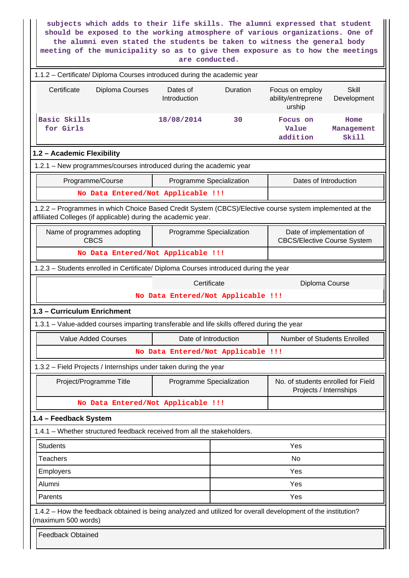**subjects which adds to their life skills. The alumni expressed that student should be exposed to the working atmosphere of various organizations. One of the alumni even stated the students be taken to witness the general body meeting of the municipality so as to give them exposure as to how the meetings are conducted.**

| 1.1.2 - Certificate/ Diploma Courses introduced during the academic year                                                                                                 |                                    |          |                                                                 |                             |
|--------------------------------------------------------------------------------------------------------------------------------------------------------------------------|------------------------------------|----------|-----------------------------------------------------------------|-----------------------------|
| Certificate<br>Diploma Courses                                                                                                                                           | Dates of<br>Introduction           | Duration | Focus on employ<br>ability/entreprene<br>urship                 | <b>Skill</b><br>Development |
| Basic Skills<br>for Girls                                                                                                                                                | 18/08/2014                         | 30       | Focus on<br>Value<br>addition                                   | Home<br>Management<br>Skill |
| 1.2 - Academic Flexibility                                                                                                                                               |                                    |          |                                                                 |                             |
| 1.2.1 - New programmes/courses introduced during the academic year                                                                                                       |                                    |          |                                                                 |                             |
| Programme/Course                                                                                                                                                         | Programme Specialization           |          | Dates of Introduction                                           |                             |
| No Data Entered/Not Applicable !!!                                                                                                                                       |                                    |          |                                                                 |                             |
| 1.2.2 - Programmes in which Choice Based Credit System (CBCS)/Elective course system implemented at the<br>affiliated Colleges (if applicable) during the academic year. |                                    |          |                                                                 |                             |
| Name of programmes adopting<br><b>CBCS</b>                                                                                                                               | Programme Specialization           |          | Date of implementation of<br><b>CBCS/Elective Course System</b> |                             |
| No Data Entered/Not Applicable !!!                                                                                                                                       |                                    |          |                                                                 |                             |
| 1.2.3 - Students enrolled in Certificate/ Diploma Courses introduced during the year                                                                                     |                                    |          |                                                                 |                             |
| Certificate<br>Diploma Course                                                                                                                                            |                                    |          |                                                                 |                             |
|                                                                                                                                                                          | No Data Entered/Not Applicable !!! |          |                                                                 |                             |
| 1.3 - Curriculum Enrichment                                                                                                                                              |                                    |          |                                                                 |                             |
| 1.3.1 - Value-added courses imparting transferable and life skills offered during the year                                                                               |                                    |          |                                                                 |                             |
| <b>Value Added Courses</b>                                                                                                                                               | Date of Introduction               |          | Number of Students Enrolled                                     |                             |
|                                                                                                                                                                          | No Data Entered/Not Applicable !!! |          |                                                                 |                             |
| 1.3.2 - Field Projects / Internships under taken during the year                                                                                                         |                                    |          |                                                                 |                             |
| Project/Programme Title                                                                                                                                                  | Programme Specialization           |          | No. of students enrolled for Field<br>Projects / Internships    |                             |
| No Data Entered/Not Applicable !!!                                                                                                                                       |                                    |          |                                                                 |                             |
| 1.4 - Feedback System                                                                                                                                                    |                                    |          |                                                                 |                             |
| 1.4.1 – Whether structured feedback received from all the stakeholders.                                                                                                  |                                    |          |                                                                 |                             |
| <b>Students</b>                                                                                                                                                          |                                    |          | Yes                                                             |                             |
| <b>Teachers</b>                                                                                                                                                          |                                    |          | <b>No</b>                                                       |                             |
| Employers                                                                                                                                                                |                                    |          | Yes                                                             |                             |
| Alumni                                                                                                                                                                   |                                    |          | Yes                                                             |                             |
| Parents                                                                                                                                                                  |                                    |          | Yes                                                             |                             |
| 1.4.2 - How the feedback obtained is being analyzed and utilized for overall development of the institution?<br>(maximum 500 words)                                      |                                    |          |                                                                 |                             |
| <b>Feedback Obtained</b>                                                                                                                                                 |                                    |          |                                                                 |                             |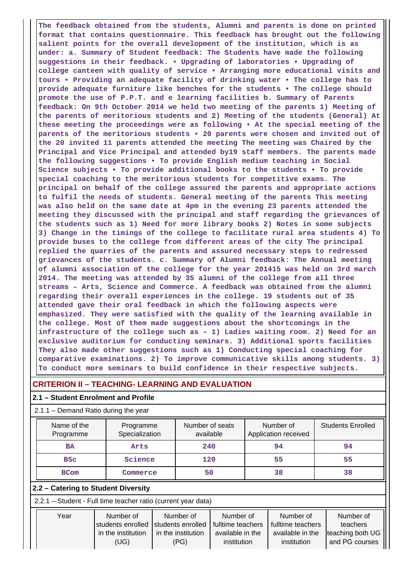**The feedback obtained from the students, Alumni and parents is done on printed format that contains questionnaire. This feedback has brought out the following salient points for the overall development of the institution, which is as under: a. Summary of Student feedback: The Students have made the following suggestions in their feedback. • Upgrading of laboratories • Upgrading of college canteen with quality of service • Arranging more educational visits and tours • Providing an adequate facility of drinking water • The college has to provide adequate furniture like benches for the students • The college should promote the use of P.P.T. and e learning facilities b. Summary of Parents feedback: On 9th October 2014 we held two meeting of the parents 1) Meeting of the parents of meritorious students and 2) Meeting of the students (General) At these meeting the proceedings were as following • At the special meeting of the parents of the meritorious students • 20 parents were chosen and invited out of the 20 invited 11 parents attended the meeting The meeting was Chaired by the Principal and Vice Principal and attended by19 staff members. The parents made the following suggestions • To provide English medium teaching in Social Science subjects • To provide additional books to the students • To provide special coaching to the meritorious students for competitive exams. The principal on behalf of the college assured the parents and appropriate actions to fulfil the needs of students. General meeting of the parents This meeting was also held on the same date at 4pm in the evening 23 parents attended the meeting they discussed with the principal and staff regarding the grievances of the students such as 1) Need for more library books 2) Notes in some subjects 3) Change in the timings of the college to facilitate rural area students 4) To provide buses to the college from different areas of the city The principal replied the quarries of the parents and assured necessary steps to redressed grievances of the students. c. Summary of Alumni feedback: The Annual meeting of alumni association of the college for the year 201415 was held on 3rd march 2014. The meeting was attended by 35 alumni of the college from all three streams – Arts, Science and Commerce. A feedback was obtained from the alumni regarding their overall experiences in the college. 19 students out of 35 attended gave their oral feedback in which the following aspects were emphasized. They were satisfied with the quality of the learning available in the college. Most of them made suggestions about the shortcomings in the infrastructure of the college such as – 1) Ladies waiting room. 2) Need for an exclusive auditorium for conducting seminars. 3) Additional sports facilities They also made other suggestions such as 1) Conducting special coaching for comparative examinations. 2) To improve communicative skills among students. 3) To conduct more seminars to build confidence in their respective subjects.**

# **CRITERION II – TEACHING- LEARNING AND EVALUATION**

## **2.1 – Student Enrolment and Profile**

## 2.1.1 – Demand Ratio during the year

| Name of the<br>Programme            | Programme<br>Specialization | Number of seats<br>available | Number of<br>Application received | <b>Students Enrolled</b> |  |
|-------------------------------------|-----------------------------|------------------------------|-----------------------------------|--------------------------|--|
| <b>BA</b>                           | Arts                        | 240                          | 94                                | 94                       |  |
| <b>BSC</b>                          | Science                     | 120                          | 55                                | 55                       |  |
| <b>BCom</b>                         | Commerce                    | 50                           | 38                                | 38                       |  |
| 2.2 - Catering to Student Diversity |                             |                              |                                   |                          |  |
| $\blacksquare$                      |                             |                              |                                   |                          |  |

2.2.1 – Student - Full time teacher ratio (current year data)

| Year | Number of                             | Number of          | Number of         | Number of         | Number of        |
|------|---------------------------------------|--------------------|-------------------|-------------------|------------------|
|      | Istudents enrolled Istudents enrolled |                    | fulltime teachers | fulltime teachers | teachers         |
|      | in the institution                    | in the institution | available in the  | available in the  | teaching both UG |
|      | (UG)                                  | (PG)               | institution       | institution       | and PG courses   |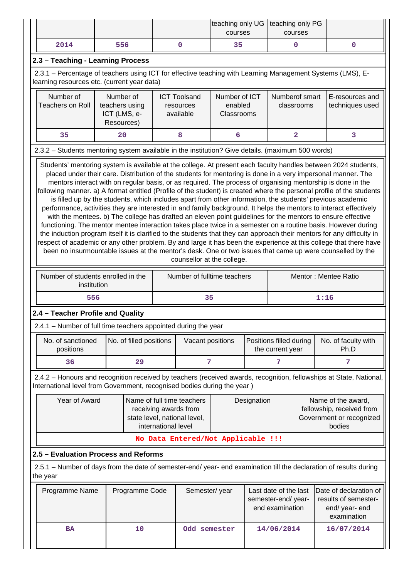|                                                                                                                                                                                                                                                                                                                                                                                                                                                                                                                                                                                                                                                                                                                                                                                                                                                                                                                                                                                                                                                                                                     |                                                                                                          |                     |                                                                                     | teaching only UG<br>courses            |             | teaching only PG<br>courses                                    |  |                                                                                                                     |
|-----------------------------------------------------------------------------------------------------------------------------------------------------------------------------------------------------------------------------------------------------------------------------------------------------------------------------------------------------------------------------------------------------------------------------------------------------------------------------------------------------------------------------------------------------------------------------------------------------------------------------------------------------------------------------------------------------------------------------------------------------------------------------------------------------------------------------------------------------------------------------------------------------------------------------------------------------------------------------------------------------------------------------------------------------------------------------------------------------|----------------------------------------------------------------------------------------------------------|---------------------|-------------------------------------------------------------------------------------|----------------------------------------|-------------|----------------------------------------------------------------|--|---------------------------------------------------------------------------------------------------------------------|
| 2014                                                                                                                                                                                                                                                                                                                                                                                                                                                                                                                                                                                                                                                                                                                                                                                                                                                                                                                                                                                                                                                                                                | 556                                                                                                      |                     | 0                                                                                   | 35                                     |             | 0                                                              |  | $\mathbf 0$                                                                                                         |
| 2.3 - Teaching - Learning Process                                                                                                                                                                                                                                                                                                                                                                                                                                                                                                                                                                                                                                                                                                                                                                                                                                                                                                                                                                                                                                                                   |                                                                                                          |                     |                                                                                     |                                        |             |                                                                |  |                                                                                                                     |
| 2.3.1 - Percentage of teachers using ICT for effective teaching with Learning Management Systems (LMS), E-<br>learning resources etc. (current year data)                                                                                                                                                                                                                                                                                                                                                                                                                                                                                                                                                                                                                                                                                                                                                                                                                                                                                                                                           |                                                                                                          |                     |                                                                                     |                                        |             |                                                                |  |                                                                                                                     |
| Number of<br><b>Teachers on Roll</b>                                                                                                                                                                                                                                                                                                                                                                                                                                                                                                                                                                                                                                                                                                                                                                                                                                                                                                                                                                                                                                                                | Number of<br>teachers using<br>ICT (LMS, e-<br>Resources)                                                |                     | <b>ICT Toolsand</b><br>resources<br>available                                       | Number of ICT<br>enabled<br>Classrooms |             | Numberof smart<br>classrooms                                   |  | E-resources and<br>techniques used                                                                                  |
| 35                                                                                                                                                                                                                                                                                                                                                                                                                                                                                                                                                                                                                                                                                                                                                                                                                                                                                                                                                                                                                                                                                                  | 20                                                                                                       |                     | 8                                                                                   | 6                                      |             | $\overline{\mathbf{2}}$                                        |  | 3                                                                                                                   |
| 2.3.2 - Students mentoring system available in the institution? Give details. (maximum 500 words)                                                                                                                                                                                                                                                                                                                                                                                                                                                                                                                                                                                                                                                                                                                                                                                                                                                                                                                                                                                                   |                                                                                                          |                     |                                                                                     |                                        |             |                                                                |  |                                                                                                                     |
| mentors interact with on regular basis, or as required. The process of organising mentorship is done in the<br>following manner. a) A format entitled (Profile of the student) is created where the personal profile of the students<br>is filled up by the students, which includes apart from other information, the students' previous academic<br>performance, activities they are interested in and family background. It helps the mentors to interact effectively<br>with the mentees. b) The college has drafted an eleven point guidelines for the mentors to ensure effective<br>functioning. The mentor mentee interaction takes place twice in a semester on a routine basis. However during<br>the induction program itself it is clarified to the students that they can approach their mentors for any difficulty in<br>respect of academic or any other problem. By and large it has been the experience at this college that there have<br>been no insurmountable issues at the mentor's desk. One or two issues that came up were counselled by the<br>counsellor at the college. |                                                                                                          |                     |                                                                                     |                                        |             |                                                                |  |                                                                                                                     |
|                                                                                                                                                                                                                                                                                                                                                                                                                                                                                                                                                                                                                                                                                                                                                                                                                                                                                                                                                                                                                                                                                                     | Number of students enrolled in the<br>Number of fulltime teachers<br>Mentor: Mentee Ratio<br>institution |                     |                                                                                     |                                        |             |                                                                |  |                                                                                                                     |
| 556                                                                                                                                                                                                                                                                                                                                                                                                                                                                                                                                                                                                                                                                                                                                                                                                                                                                                                                                                                                                                                                                                                 |                                                                                                          |                     | 35                                                                                  |                                        |             |                                                                |  | 1:16                                                                                                                |
| 2.4 - Teacher Profile and Quality                                                                                                                                                                                                                                                                                                                                                                                                                                                                                                                                                                                                                                                                                                                                                                                                                                                                                                                                                                                                                                                                   |                                                                                                          |                     |                                                                                     |                                        |             |                                                                |  |                                                                                                                     |
| 2.4.1 - Number of full time teachers appointed during the year                                                                                                                                                                                                                                                                                                                                                                                                                                                                                                                                                                                                                                                                                                                                                                                                                                                                                                                                                                                                                                      |                                                                                                          |                     |                                                                                     |                                        |             |                                                                |  |                                                                                                                     |
| No. of sanctioned<br>positions                                                                                                                                                                                                                                                                                                                                                                                                                                                                                                                                                                                                                                                                                                                                                                                                                                                                                                                                                                                                                                                                      | No. of filled positions                                                                                  |                     | Vacant positions                                                                    |                                        |             | Positions filled during<br>the current year                    |  | No. of faculty with<br>Ph.D                                                                                         |
| 36                                                                                                                                                                                                                                                                                                                                                                                                                                                                                                                                                                                                                                                                                                                                                                                                                                                                                                                                                                                                                                                                                                  | 29                                                                                                       |                     | 7                                                                                   |                                        |             | 7                                                              |  | 7                                                                                                                   |
| International level from Government, recognised bodies during the year)                                                                                                                                                                                                                                                                                                                                                                                                                                                                                                                                                                                                                                                                                                                                                                                                                                                                                                                                                                                                                             |                                                                                                          |                     |                                                                                     |                                        |             |                                                                |  | 2.4.2 - Honours and recognition received by teachers (received awards, recognition, fellowships at State, National, |
| Year of Award                                                                                                                                                                                                                                                                                                                                                                                                                                                                                                                                                                                                                                                                                                                                                                                                                                                                                                                                                                                                                                                                                       |                                                                                                          | international level | Name of full time teachers<br>receiving awards from<br>state level, national level, |                                        | Designation |                                                                |  | Name of the award,<br>fellowship, received from<br>Government or recognized<br>bodies                               |
|                                                                                                                                                                                                                                                                                                                                                                                                                                                                                                                                                                                                                                                                                                                                                                                                                                                                                                                                                                                                                                                                                                     |                                                                                                          |                     | No Data Entered/Not Applicable !!!                                                  |                                        |             |                                                                |  |                                                                                                                     |
| 2.5 - Evaluation Process and Reforms                                                                                                                                                                                                                                                                                                                                                                                                                                                                                                                                                                                                                                                                                                                                                                                                                                                                                                                                                                                                                                                                |                                                                                                          |                     |                                                                                     |                                        |             |                                                                |  |                                                                                                                     |
| 2.5.1 - Number of days from the date of semester-end/ year- end examination till the declaration of results during<br>the year                                                                                                                                                                                                                                                                                                                                                                                                                                                                                                                                                                                                                                                                                                                                                                                                                                                                                                                                                                      |                                                                                                          |                     |                                                                                     |                                        |             |                                                                |  |                                                                                                                     |
| Programme Name                                                                                                                                                                                                                                                                                                                                                                                                                                                                                                                                                                                                                                                                                                                                                                                                                                                                                                                                                                                                                                                                                      | Programme Code                                                                                           | Semester/year       |                                                                                     |                                        |             | Last date of the last<br>semester-end/year-<br>end examination |  | Date of declaration of<br>results of semester-<br>end/ year- end<br>examination                                     |
| <b>BA</b>                                                                                                                                                                                                                                                                                                                                                                                                                                                                                                                                                                                                                                                                                                                                                                                                                                                                                                                                                                                                                                                                                           | 10                                                                                                       |                     | Odd semester                                                                        |                                        |             | 14/06/2014                                                     |  | 16/07/2014                                                                                                          |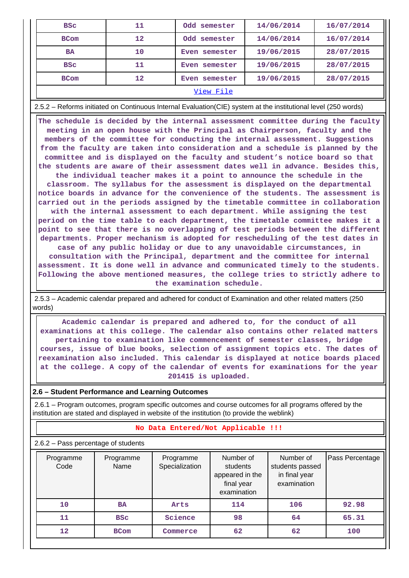| <b>BSC</b>  | 11      | Odd semester  | 14/06/2014 | 16/07/2014 |  |  |  |
|-------------|---------|---------------|------------|------------|--|--|--|
| <b>BCom</b> | 12      | Odd semester  | 14/06/2014 | 16/07/2014 |  |  |  |
| <b>BA</b>   | 10      | Even semester | 19/06/2015 | 28/07/2015 |  |  |  |
| <b>BSC</b>  | 11      | Even semester | 19/06/2015 | 28/07/2015 |  |  |  |
| <b>BCom</b> | $12 \,$ | Even semester | 19/06/2015 | 28/07/2015 |  |  |  |
| View File   |         |               |            |            |  |  |  |

2.5.2 – Reforms initiated on Continuous Internal Evaluation(CIE) system at the institutional level (250 words)

 **The schedule is decided by the internal assessment committee during the faculty meeting in an open house with the Principal as Chairperson, faculty and the members of the committee for conducting the internal assessment. Suggestions from the faculty are taken into consideration and a schedule is planned by the committee and is displayed on the faculty and student's notice board so that the students are aware of their assessment dates well in advance. Besides this,**

**the individual teacher makes it a point to announce the schedule in the classroom. The syllabus for the assessment is displayed on the departmental notice boards in advance for the convenience of the students. The assessment is carried out in the periods assigned by the timetable committee in collaboration with the internal assessment to each department. While assigning the test period on the time table to each department, the timetable committee makes it a point to see that there is no overlapping of test periods between the different departments. Proper mechanism is adopted for rescheduling of the test dates in case of any public holiday or due to any unavoidable circumstances, in consultation with the Principal, department and the committee for internal assessment. It is done well in advance and communicated timely to the students. Following the above mentioned measures, the college tries to strictly adhere to the examination schedule.**

 2.5.3 – Academic calendar prepared and adhered for conduct of Examination and other related matters (250 words)

 **Academic calendar is prepared and adhered to, for the conduct of all examinations at this college. The calendar also contains other related matters pertaining to examination like commencement of semester classes, bridge courses, issue of blue books, selection of assignment topics etc. The dates of reexamination also included. This calendar is displayed at notice boards placed at the college. A copy of the calendar of events for examinations for the year 201415 is uploaded.**

#### **2.6 – Student Performance and Learning Outcomes**

 2.6.1 – Program outcomes, program specific outcomes and course outcomes for all programs offered by the institution are stated and displayed in website of the institution (to provide the weblink)

## **No Data Entered/Not Applicable !!!**

2.6.2 – Pass percentage of students

| Programme<br>Code | Programme<br>Name | Programme<br>Specialization | Number of<br>students<br>appeared in the<br>final year<br>examination | Number of<br>students passed<br>in final year<br>examination | Pass Percentage |
|-------------------|-------------------|-----------------------------|-----------------------------------------------------------------------|--------------------------------------------------------------|-----------------|
| 10                | <b>BA</b>         | Arts                        | 114                                                                   | 106                                                          | 92.98           |
| 11                | <b>BSC</b>        | Science                     | 98                                                                    | 64                                                           | 65.31           |
| 12                | <b>BCom</b>       | Commerce                    | 62                                                                    | 62                                                           | 100             |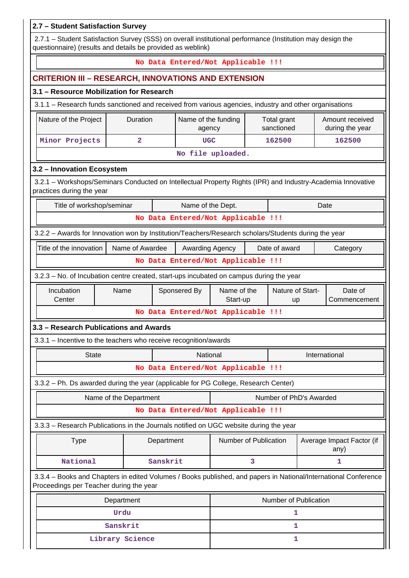| 2.7 - Student Satisfaction Survey                                                                                                                                         |                                                                                                        |            |                               |                                    |   |                           |  |                                    |
|---------------------------------------------------------------------------------------------------------------------------------------------------------------------------|--------------------------------------------------------------------------------------------------------|------------|-------------------------------|------------------------------------|---|---------------------------|--|------------------------------------|
| 2.7.1 - Student Satisfaction Survey (SSS) on overall institutional performance (Institution may design the<br>questionnaire) (results and details be provided as weblink) |                                                                                                        |            |                               |                                    |   |                           |  |                                    |
| No Data Entered/Not Applicable !!!                                                                                                                                        |                                                                                                        |            |                               |                                    |   |                           |  |                                    |
| <b>CRITERION III - RESEARCH, INNOVATIONS AND EXTENSION</b>                                                                                                                |                                                                                                        |            |                               |                                    |   |                           |  |                                    |
| 3.1 - Resource Mobilization for Research                                                                                                                                  |                                                                                                        |            |                               |                                    |   |                           |  |                                    |
|                                                                                                                                                                           | 3.1.1 - Research funds sanctioned and received from various agencies, industry and other organisations |            |                               |                                    |   |                           |  |                                    |
| Nature of the Project                                                                                                                                                     | Duration                                                                                               |            | Name of the funding<br>agency |                                    |   | Total grant<br>sanctioned |  | Amount received<br>during the year |
| Minor Projects                                                                                                                                                            | $\overline{a}$                                                                                         |            | <b>UGC</b>                    |                                    |   | 162500                    |  | 162500                             |
|                                                                                                                                                                           |                                                                                                        |            |                               | No file uploaded.                  |   |                           |  |                                    |
| 3.2 - Innovation Ecosystem                                                                                                                                                |                                                                                                        |            |                               |                                    |   |                           |  |                                    |
| 3.2.1 - Workshops/Seminars Conducted on Intellectual Property Rights (IPR) and Industry-Academia Innovative<br>practices during the year                                  |                                                                                                        |            |                               |                                    |   |                           |  |                                    |
| Title of workshop/seminar                                                                                                                                                 |                                                                                                        |            | Name of the Dept.             |                                    |   |                           |  | Date                               |
|                                                                                                                                                                           |                                                                                                        |            |                               | No Data Entered/Not Applicable !!! |   |                           |  |                                    |
| 3.2.2 - Awards for Innovation won by Institution/Teachers/Research scholars/Students during the year                                                                      |                                                                                                        |            |                               |                                    |   |                           |  |                                    |
| Name of Awardee<br>Date of award<br>Title of the innovation<br>Awarding Agency<br>Category                                                                                |                                                                                                        |            |                               |                                    |   |                           |  |                                    |
| No Data Entered/Not Applicable !!!                                                                                                                                        |                                                                                                        |            |                               |                                    |   |                           |  |                                    |
| 3.2.3 – No. of Incubation centre created, start-ups incubated on campus during the year                                                                                   |                                                                                                        |            |                               |                                    |   |                           |  |                                    |
| Incubation<br>Sponsered By<br>Name                                                                                                                                        |                                                                                                        |            |                               |                                    |   |                           |  |                                    |
| Center                                                                                                                                                                    |                                                                                                        |            |                               | Name of the<br>Start-up            |   | Nature of Start-<br>up    |  | Date of<br>Commencement            |
|                                                                                                                                                                           |                                                                                                        |            |                               | No Data Entered/Not Applicable !!! |   |                           |  |                                    |
| 3.3 - Research Publications and Awards                                                                                                                                    |                                                                                                        |            |                               |                                    |   |                           |  |                                    |
| 3.3.1 - Incentive to the teachers who receive recognition/awards                                                                                                          |                                                                                                        |            |                               |                                    |   |                           |  |                                    |
| <b>State</b>                                                                                                                                                              |                                                                                                        |            | National                      |                                    |   |                           |  | International                      |
|                                                                                                                                                                           |                                                                                                        |            |                               | No Data Entered/Not Applicable !!! |   |                           |  |                                    |
| 3.3.2 - Ph. Ds awarded during the year (applicable for PG College, Research Center)                                                                                       |                                                                                                        |            |                               |                                    |   |                           |  |                                    |
|                                                                                                                                                                           | Name of the Department                                                                                 |            |                               |                                    |   | Number of PhD's Awarded   |  |                                    |
|                                                                                                                                                                           |                                                                                                        |            |                               | No Data Entered/Not Applicable !!! |   |                           |  |                                    |
| 3.3.3 - Research Publications in the Journals notified on UGC website during the year                                                                                     |                                                                                                        |            |                               |                                    |   |                           |  |                                    |
| <b>Type</b>                                                                                                                                                               |                                                                                                        | Department |                               | Number of Publication              |   |                           |  | Average Impact Factor (if<br>any)  |
| National                                                                                                                                                                  |                                                                                                        | Sanskrit   |                               |                                    | 3 |                           |  | 1                                  |
| 3.3.4 - Books and Chapters in edited Volumes / Books published, and papers in National/International Conference<br>Proceedings per Teacher during the year                |                                                                                                        |            |                               |                                    |   |                           |  |                                    |
|                                                                                                                                                                           | Department                                                                                             |            |                               |                                    |   | Number of Publication     |  |                                    |
|                                                                                                                                                                           | Urdu                                                                                                   |            |                               |                                    |   | 1                         |  |                                    |
|                                                                                                                                                                           | Sanskrit                                                                                               |            |                               |                                    |   | 1                         |  |                                    |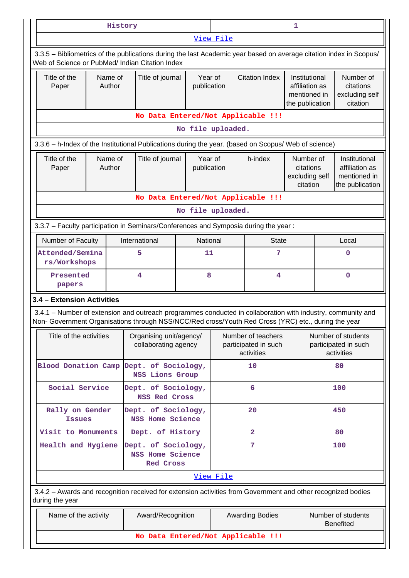|                                                                                                                                                                                                                    |                                                                                                                                                                       | History           |                                                 |                        | 1                                                                |                                                          |                                                                    |                                                                    |                                                      |  |
|--------------------------------------------------------------------------------------------------------------------------------------------------------------------------------------------------------------------|-----------------------------------------------------------------------------------------------------------------------------------------------------------------------|-------------------|-------------------------------------------------|------------------------|------------------------------------------------------------------|----------------------------------------------------------|--------------------------------------------------------------------|--------------------------------------------------------------------|------------------------------------------------------|--|
|                                                                                                                                                                                                                    |                                                                                                                                                                       |                   |                                                 |                        | View File                                                        |                                                          |                                                                    |                                                                    |                                                      |  |
|                                                                                                                                                                                                                    | 3.3.5 – Bibliometrics of the publications during the last Academic year based on average citation index in Scopus/<br>Web of Science or PubMed/ Indian Citation Index |                   |                                                 |                        |                                                                  |                                                          |                                                                    |                                                                    |                                                      |  |
| Title of the<br>Paper                                                                                                                                                                                              |                                                                                                                                                                       | Name of<br>Author | Title of journal                                |                        | Year of<br>publication                                           | <b>Citation Index</b>                                    | Institutional<br>affiliation as<br>mentioned in<br>the publication |                                                                    | Number of<br>citations<br>excluding self<br>citation |  |
|                                                                                                                                                                                                                    |                                                                                                                                                                       |                   |                                                 |                        |                                                                  | No Data Entered/Not Applicable !!!                       |                                                                    |                                                                    |                                                      |  |
|                                                                                                                                                                                                                    |                                                                                                                                                                       |                   |                                                 | No file uploaded.      |                                                                  |                                                          |                                                                    |                                                                    |                                                      |  |
| 3.3.6 - h-Index of the Institutional Publications during the year. (based on Scopus/ Web of science)                                                                                                               |                                                                                                                                                                       |                   |                                                 |                        |                                                                  |                                                          |                                                                    |                                                                    |                                                      |  |
| Title of the<br>Paper                                                                                                                                                                                              | Name of<br>Title of journal<br>Author                                                                                                                                 |                   |                                                 | Year of<br>publication | h-index                                                          | Number of<br>citations<br>excluding self<br>citation     |                                                                    | Institutional<br>affiliation as<br>mentioned in<br>the publication |                                                      |  |
|                                                                                                                                                                                                                    |                                                                                                                                                                       |                   |                                                 |                        |                                                                  | No Data Entered/Not Applicable !!!                       |                                                                    |                                                                    |                                                      |  |
|                                                                                                                                                                                                                    |                                                                                                                                                                       |                   |                                                 | No file uploaded.      |                                                                  |                                                          |                                                                    |                                                                    |                                                      |  |
| 3.3.7 - Faculty participation in Seminars/Conferences and Symposia during the year:                                                                                                                                |                                                                                                                                                                       |                   |                                                 |                        |                                                                  |                                                          |                                                                    |                                                                    |                                                      |  |
| Number of Faculty                                                                                                                                                                                                  |                                                                                                                                                                       |                   | International                                   |                        | National<br><b>State</b>                                         |                                                          |                                                                    |                                                                    | Local                                                |  |
|                                                                                                                                                                                                                    | Attended/Semina<br>5<br>rs/Workshops                                                                                                                                  |                   | 11                                              |                        | 7                                                                |                                                          |                                                                    | $\mathbf 0$                                                        |                                                      |  |
| Presented<br>papers                                                                                                                                                                                                |                                                                                                                                                                       |                   | $\overline{\mathbf{4}}$                         | 8                      |                                                                  | $\overline{\mathbf{4}}$                                  |                                                                    |                                                                    | $\Omega$                                             |  |
|                                                                                                                                                                                                                    | 3.4 - Extension Activities                                                                                                                                            |                   |                                                 |                        |                                                                  |                                                          |                                                                    |                                                                    |                                                      |  |
| 3.4.1 – Number of extension and outreach programmes conducted in collaboration with industry, community and<br>Non- Government Organisations through NSS/NCC/Red cross/Youth Red Cross (YRC) etc., during the year |                                                                                                                                                                       |                   |                                                 |                        |                                                                  |                                                          |                                                                    |                                                                    |                                                      |  |
| Title of the activities                                                                                                                                                                                            |                                                                                                                                                                       |                   | Organising unit/agency/<br>collaborating agency |                        |                                                                  | Number of teachers<br>participated in such<br>activities |                                                                    | Number of students<br>participated in such<br>activities           |                                                      |  |
| Blood Donation Camp Dept. of Sociology,                                                                                                                                                                            |                                                                                                                                                                       |                   | <b>NSS Lions Group</b>                          |                        |                                                                  | 10                                                       |                                                                    |                                                                    | 80                                                   |  |
| Social Service                                                                                                                                                                                                     |                                                                                                                                                                       |                   | Dept. of Sociology,<br><b>NSS Red Cross</b>     |                        |                                                                  | 6                                                        |                                                                    |                                                                    | 100                                                  |  |
| Rally on Gender<br><b>Issues</b>                                                                                                                                                                                   |                                                                                                                                                                       |                   | Dept. of Sociology,<br>NSS Home Science         |                        |                                                                  | 20                                                       |                                                                    |                                                                    | 450                                                  |  |
| Visit to Monuments                                                                                                                                                                                                 |                                                                                                                                                                       |                   | Dept. of History                                |                        |                                                                  | $\overline{\mathbf{2}}$                                  |                                                                    |                                                                    | 80                                                   |  |
|                                                                                                                                                                                                                    | Health and Hygiene<br>Dept. of Sociology,<br>NSS Home Science<br><b>Red Cross</b>                                                                                     |                   |                                                 |                        |                                                                  | 7                                                        |                                                                    | 100                                                                |                                                      |  |
|                                                                                                                                                                                                                    |                                                                                                                                                                       |                   |                                                 |                        | View File                                                        |                                                          |                                                                    |                                                                    |                                                      |  |
| 3.4.2 - Awards and recognition received for extension activities from Government and other recognized bodies<br>during the year                                                                                    |                                                                                                                                                                       |                   |                                                 |                        |                                                                  |                                                          |                                                                    |                                                                    |                                                      |  |
| Name of the activity                                                                                                                                                                                               |                                                                                                                                                                       |                   | Award/Recognition                               |                        | Number of students<br><b>Awarding Bodies</b><br><b>Benefited</b> |                                                          |                                                                    |                                                                    |                                                      |  |
|                                                                                                                                                                                                                    |                                                                                                                                                                       |                   |                                                 |                        |                                                                  | No Data Entered/Not Applicable !!!                       |                                                                    |                                                                    |                                                      |  |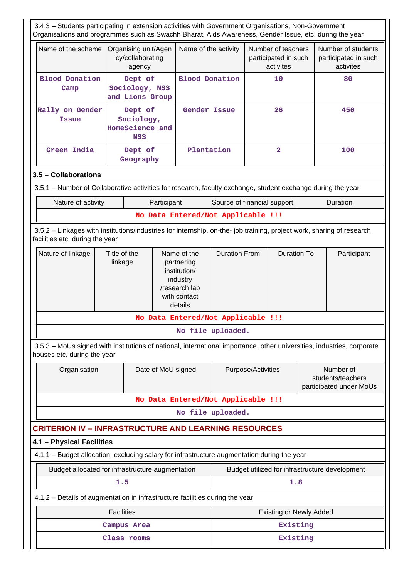| 3.4.3 - Students participating in extension activities with Government Organisations, Non-Government<br>Organisations and programmes such as Swachh Bharat, Aids Awareness, Gender Issue, etc. during the year |                                                                                                                                                          |                                                        |             |                                                                                                   |                                |                    |                                                         |  |                                                           |
|----------------------------------------------------------------------------------------------------------------------------------------------------------------------------------------------------------------|----------------------------------------------------------------------------------------------------------------------------------------------------------|--------------------------------------------------------|-------------|---------------------------------------------------------------------------------------------------|--------------------------------|--------------------|---------------------------------------------------------|--|-----------------------------------------------------------|
| Name of the scheme                                                                                                                                                                                             |                                                                                                                                                          | Organising unit/Agen<br>cy/collaborating<br>agency     |             | Name of the activity                                                                              |                                |                    | Number of teachers<br>participated in such<br>activites |  | Number of students<br>participated in such<br>activites   |
| <b>Blood Donation</b><br>Camp                                                                                                                                                                                  |                                                                                                                                                          | Dept of<br>Sociology, NSS<br>and Lions Group           |             | <b>Blood Donation</b>                                                                             |                                |                    | 10                                                      |  | 80                                                        |
| Rally on Gender<br><b>Issue</b>                                                                                                                                                                                |                                                                                                                                                          | Dept of<br>Sociology,<br>HomeScience and<br><b>NSS</b> |             | Gender Issue                                                                                      |                                | 26                 |                                                         |  | 450                                                       |
| Green India                                                                                                                                                                                                    |                                                                                                                                                          | Dept of<br>Geography                                   |             | Plantation                                                                                        |                                |                    | $\overline{2}$                                          |  | 100                                                       |
| 3.5 - Collaborations                                                                                                                                                                                           |                                                                                                                                                          |                                                        |             |                                                                                                   |                                |                    |                                                         |  |                                                           |
| 3.5.1 – Number of Collaborative activities for research, faculty exchange, student exchange during the year                                                                                                    |                                                                                                                                                          |                                                        |             |                                                                                                   |                                |                    |                                                         |  |                                                           |
| Nature of activity                                                                                                                                                                                             |                                                                                                                                                          |                                                        | Participant |                                                                                                   | Source of financial support    |                    |                                                         |  | Duration                                                  |
|                                                                                                                                                                                                                |                                                                                                                                                          |                                                        |             | No Data Entered/Not Applicable !!!                                                                |                                |                    |                                                         |  |                                                           |
|                                                                                                                                                                                                                | 3.5.2 - Linkages with institutions/industries for internship, on-the- job training, project work, sharing of research<br>facilities etc. during the year |                                                        |             |                                                                                                   |                                |                    |                                                         |  |                                                           |
| Nature of linkage                                                                                                                                                                                              | Title of the<br>linkage                                                                                                                                  |                                                        |             | Name of the<br>partnering<br>institution/<br>industry<br>/research lab<br>with contact<br>details | <b>Duration From</b>           |                    | <b>Duration To</b>                                      |  | Participant                                               |
|                                                                                                                                                                                                                |                                                                                                                                                          |                                                        |             | No Data Entered/Not Applicable !!!                                                                |                                |                    |                                                         |  |                                                           |
|                                                                                                                                                                                                                |                                                                                                                                                          |                                                        |             |                                                                                                   | No file uploaded.              |                    |                                                         |  |                                                           |
| 3.5.3 – MoUs signed with institutions of national, international importance, other universities, industries, corporate<br>houses etc. during the year                                                          |                                                                                                                                                          |                                                        |             |                                                                                                   |                                |                    |                                                         |  |                                                           |
| Organisation                                                                                                                                                                                                   |                                                                                                                                                          |                                                        |             | Date of MoU signed                                                                                |                                | Purpose/Activities |                                                         |  | Number of<br>students/teachers<br>participated under MoUs |
|                                                                                                                                                                                                                |                                                                                                                                                          |                                                        |             | No Data Entered/Not Applicable !!!                                                                |                                |                    |                                                         |  |                                                           |
|                                                                                                                                                                                                                |                                                                                                                                                          |                                                        |             |                                                                                                   | No file uploaded.              |                    |                                                         |  |                                                           |
| <b>CRITERION IV - INFRASTRUCTURE AND LEARNING RESOURCES</b>                                                                                                                                                    |                                                                                                                                                          |                                                        |             |                                                                                                   |                                |                    |                                                         |  |                                                           |
| 4.1 - Physical Facilities                                                                                                                                                                                      |                                                                                                                                                          |                                                        |             |                                                                                                   |                                |                    |                                                         |  |                                                           |
| 4.1.1 - Budget allocation, excluding salary for infrastructure augmentation during the year                                                                                                                    |                                                                                                                                                          |                                                        |             |                                                                                                   |                                |                    |                                                         |  |                                                           |
| Budget allocated for infrastructure augmentation                                                                                                                                                               |                                                                                                                                                          |                                                        |             |                                                                                                   |                                |                    |                                                         |  | Budget utilized for infrastructure development            |
|                                                                                                                                                                                                                | 1.5                                                                                                                                                      |                                                        |             |                                                                                                   |                                |                    | 1.8                                                     |  |                                                           |
| 4.1.2 - Details of augmentation in infrastructure facilities during the year                                                                                                                                   |                                                                                                                                                          |                                                        |             |                                                                                                   |                                |                    |                                                         |  |                                                           |
|                                                                                                                                                                                                                | <b>Facilities</b>                                                                                                                                        |                                                        |             |                                                                                                   | <b>Existing or Newly Added</b> |                    |                                                         |  |                                                           |
|                                                                                                                                                                                                                |                                                                                                                                                          | Campus Area                                            |             |                                                                                                   |                                |                    | Existing                                                |  |                                                           |
|                                                                                                                                                                                                                |                                                                                                                                                          | Class rooms                                            |             |                                                                                                   | Existing                       |                    |                                                         |  |                                                           |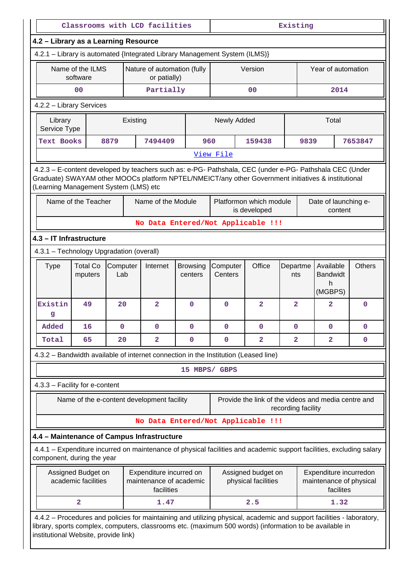|                                                                                                                                                                                                                                                                          |                                                                            |                 |  | Classrooms with LCD facilities                                   |               | Existing                                                                                                    |                                                     |                    |                    |                                              |               |  |
|--------------------------------------------------------------------------------------------------------------------------------------------------------------------------------------------------------------------------------------------------------------------------|----------------------------------------------------------------------------|-----------------|--|------------------------------------------------------------------|---------------|-------------------------------------------------------------------------------------------------------------|-----------------------------------------------------|--------------------|--------------------|----------------------------------------------|---------------|--|
|                                                                                                                                                                                                                                                                          |                                                                            |                 |  |                                                                  |               |                                                                                                             |                                                     |                    |                    |                                              |               |  |
| 4.2 - Library as a Learning Resource                                                                                                                                                                                                                                     |                                                                            |                 |  |                                                                  |               |                                                                                                             |                                                     |                    |                    |                                              |               |  |
|                                                                                                                                                                                                                                                                          | 4.2.1 - Library is automated {Integrated Library Management System (ILMS)} |                 |  |                                                                  |               |                                                                                                             |                                                     |                    |                    |                                              |               |  |
|                                                                                                                                                                                                                                                                          | Name of the ILMS<br>software                                               |                 |  | Nature of automation (fully<br>or patially)                      |               |                                                                                                             | Version                                             |                    | Year of automation |                                              |               |  |
|                                                                                                                                                                                                                                                                          | 0 <sub>0</sub>                                                             |                 |  | Partially                                                        |               |                                                                                                             | 0 <sup>0</sup>                                      |                    |                    | 2014                                         |               |  |
| 4.2.2 - Library Services                                                                                                                                                                                                                                                 |                                                                            |                 |  |                                                                  |               |                                                                                                             |                                                     |                    |                    |                                              |               |  |
| Library<br>Service Type                                                                                                                                                                                                                                                  |                                                                            | Existing        |  |                                                                  |               | Newly Added                                                                                                 |                                                     |                    |                    | Total                                        |               |  |
| <b>Text Books</b>                                                                                                                                                                                                                                                        |                                                                            | 8879            |  | 7494409                                                          | 960           |                                                                                                             | 159438                                              |                    | 9839               |                                              | 7653847       |  |
|                                                                                                                                                                                                                                                                          |                                                                            |                 |  |                                                                  |               | View File                                                                                                   |                                                     |                    |                    |                                              |               |  |
| 4.2.3 – E-content developed by teachers such as: e-PG- Pathshala, CEC (under e-PG- Pathshala CEC (Under<br>Graduate) SWAYAM other MOOCs platform NPTEL/NMEICT/any other Government initiatives & institutional<br>(Learning Management System (LMS) etc                  |                                                                            |                 |  |                                                                  |               |                                                                                                             |                                                     |                    |                    |                                              |               |  |
|                                                                                                                                                                                                                                                                          | Name of the Teacher                                                        |                 |  | Name of the Module                                               |               |                                                                                                             | Platformon which module<br>is developed             |                    |                    | Date of launching e-<br>content              |               |  |
|                                                                                                                                                                                                                                                                          |                                                                            |                 |  |                                                                  |               |                                                                                                             | No Data Entered/Not Applicable !!!                  |                    |                    |                                              |               |  |
| 4.3 - IT Infrastructure                                                                                                                                                                                                                                                  |                                                                            |                 |  |                                                                  |               |                                                                                                             |                                                     |                    |                    |                                              |               |  |
|                                                                                                                                                                                                                                                                          | 4.3.1 - Technology Upgradation (overall)                                   |                 |  |                                                                  |               |                                                                                                             |                                                     |                    |                    |                                              |               |  |
| <b>Type</b>                                                                                                                                                                                                                                                              | <b>Total Co</b><br>mputers                                                 | Computer<br>Lab |  | Internet<br><b>Browsing</b><br>centers                           |               | Computer<br>Centers                                                                                         | Office                                              | Departme<br>nts    |                    | Available<br><b>Bandwidt</b><br>h<br>(MGBPS) | <b>Others</b> |  |
| Existin<br>g                                                                                                                                                                                                                                                             | 49                                                                         | 20              |  | $\overline{2}$                                                   | 0             | $\mathbf 0$                                                                                                 | $\overline{a}$                                      | $\overline{a}$     |                    | $\overline{a}$                               | $\mathbf 0$   |  |
| Added                                                                                                                                                                                                                                                                    | 16                                                                         | 0               |  | 0                                                                | 0             | 0                                                                                                           | 0                                                   | 0                  |                    | 0                                            | 0             |  |
| Total                                                                                                                                                                                                                                                                    | 65                                                                         | 20              |  | $\mathbf{2}$                                                     | 0             | 0                                                                                                           | $\overline{2}$                                      | 2                  |                    | $\overline{\mathbf{2}}$                      | 0             |  |
| 4.3.2 - Bandwidth available of internet connection in the Institution (Leased line)                                                                                                                                                                                      |                                                                            |                 |  |                                                                  |               |                                                                                                             |                                                     |                    |                    |                                              |               |  |
|                                                                                                                                                                                                                                                                          |                                                                            |                 |  |                                                                  | 15 MBPS/ GBPS |                                                                                                             |                                                     |                    |                    |                                              |               |  |
| 4.3.3 - Facility for e-content                                                                                                                                                                                                                                           |                                                                            |                 |  |                                                                  |               |                                                                                                             |                                                     |                    |                    |                                              |               |  |
|                                                                                                                                                                                                                                                                          |                                                                            |                 |  | Name of the e-content development facility                       |               |                                                                                                             | Provide the link of the videos and media centre and | recording facility |                    |                                              |               |  |
|                                                                                                                                                                                                                                                                          |                                                                            |                 |  |                                                                  |               |                                                                                                             | No Data Entered/Not Applicable !!!                  |                    |                    |                                              |               |  |
| 4.4 - Maintenance of Campus Infrastructure                                                                                                                                                                                                                               |                                                                            |                 |  |                                                                  |               |                                                                                                             |                                                     |                    |                    |                                              |               |  |
| 4.4.1 - Expenditure incurred on maintenance of physical facilities and academic support facilities, excluding salary<br>component, during the year                                                                                                                       |                                                                            |                 |  |                                                                  |               |                                                                                                             |                                                     |                    |                    |                                              |               |  |
|                                                                                                                                                                                                                                                                          | Assigned Budget on<br>academic facilities                                  |                 |  | Expenditure incurred on<br>maintenance of academic<br>facilities |               | Assigned budget on<br>Expenditure incurredon<br>physical facilities<br>maintenance of physical<br>facilites |                                                     |                    |                    |                                              |               |  |
|                                                                                                                                                                                                                                                                          | $\overline{\mathbf{2}}$                                                    |                 |  | 1.47                                                             |               |                                                                                                             | 2.5                                                 |                    |                    | 1.32                                         |               |  |
| 4.4.2 – Procedures and policies for maintaining and utilizing physical, academic and support facilities - laboratory,<br>library, sports complex, computers, classrooms etc. (maximum 500 words) (information to be available in<br>institutional Website, provide link) |                                                                            |                 |  |                                                                  |               |                                                                                                             |                                                     |                    |                    |                                              |               |  |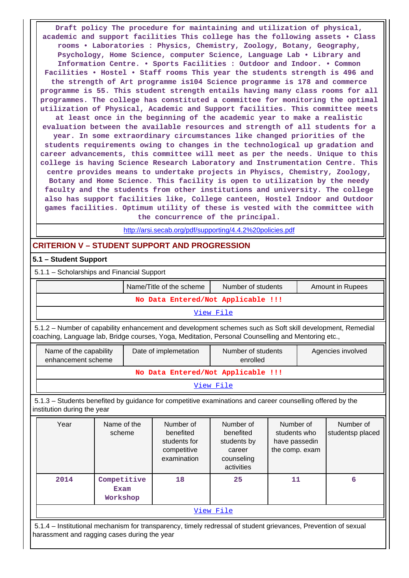**Draft policy The procedure for maintaining and utilization of physical, academic and support facilities This college has the following assets • Class rooms • Laboratories : Physics, Chemistry, Zoology, Botany, Geography, Psychology, Home Science, computer Science, Language Lab • Library and Information Centre. • Sports Facilities : Outdoor and Indoor. • Common Facilities • Hostel • Staff rooms This year the students strength is 496 and the strength of Art programme is104 Science programme is 178 and commerce programme is 55. This student strength entails having many class rooms for all programmes. The college has constituted a committee for monitoring the optimal utilization of Physical, Academic and Support facilities. This committee meets at least once in the beginning of the academic year to make a realistic evaluation between the available resources and strength of all students for a year. In some extraordinary circumstances like changed priorities of the students requirements owing to changes in the technological up gradation and career advancements, this committee will meet as per the needs. Unique to this college is having Science Research Laboratory and Instrumentation Centre. This centre provides means to undertake projects in Phyiscs, Chemistry, Zoology, Botany and Home Science. This facility is open to utilization by the needy faculty and the students from other institutions and university. The college also has support facilities like, College canteen, Hostel Indoor and Outdoor**

**games facilities. Optimum utility of these is vested with the committee with the concurrence of the principal.**

<http://arsi.secab.org/pdf/supporting/4.4.2%20policies.pdf>

# **CRITERION V – STUDENT SUPPORT AND PROGRESSION**

## **5.1 – Student Support**

5.1.1 – Scholarships and Financial Support

|           | Name/Title of the scheme           | Number of students | <b>Amount in Rupees</b> |  |  |  |  |  |
|-----------|------------------------------------|--------------------|-------------------------|--|--|--|--|--|
|           | No Data Entered/Not Applicable !!! |                    |                         |  |  |  |  |  |
| View File |                                    |                    |                         |  |  |  |  |  |

 5.1.2 – Number of capability enhancement and development schemes such as Soft skill development, Remedial coaching, Language lab, Bridge courses, Yoga, Meditation, Personal Counselling and Mentoring etc.,

| Name of the capability<br>enhancement scheme | Date of implemetation | Number of students<br>enrolled | Agencies involved |  |  |  |  |
|----------------------------------------------|-----------------------|--------------------------------|-------------------|--|--|--|--|
| No Data Entered/Not Applicable !!!           |                       |                                |                   |  |  |  |  |
| View File                                    |                       |                                |                   |  |  |  |  |

 5.1.3 – Students benefited by guidance for competitive examinations and career counselling offered by the institution during the year

| Year      | Name of the<br>scheme           | Number of<br>benefited<br>students for<br>competitive<br>examination | Number of<br>benefited<br>students by<br>career<br>counseling<br>activities | Number of<br>students who<br>have passedin<br>the comp. exam | Number of<br>studentsp placed |  |  |
|-----------|---------------------------------|----------------------------------------------------------------------|-----------------------------------------------------------------------------|--------------------------------------------------------------|-------------------------------|--|--|
| 2014      | Competitive<br>Exam<br>Workshop | 18                                                                   | 25                                                                          | 11                                                           | 6                             |  |  |
| View File |                                 |                                                                      |                                                                             |                                                              |                               |  |  |

 5.1.4 – Institutional mechanism for transparency, timely redressal of student grievances, Prevention of sexual harassment and ragging cases during the year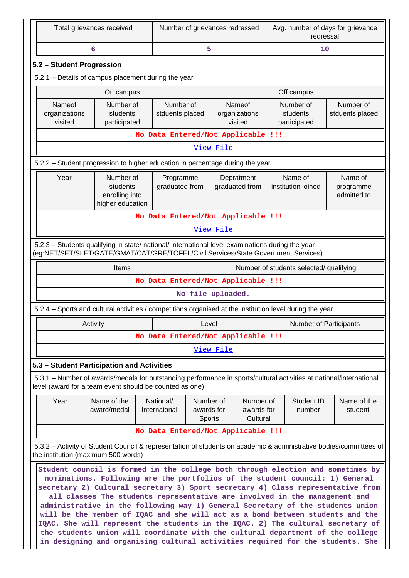|                                                                                                                                                                                        | Total grievances received                                                                                                                                  |                                    |                                                                                                             | Number of grievances redressed |                                     |  | Avg. number of days for grievance<br>redressal |                                                                                                                                                                                                                                                                                                                                                                                                                                                                                                                                                                                               |  |
|----------------------------------------------------------------------------------------------------------------------------------------------------------------------------------------|------------------------------------------------------------------------------------------------------------------------------------------------------------|------------------------------------|-------------------------------------------------------------------------------------------------------------|--------------------------------|-------------------------------------|--|------------------------------------------------|-----------------------------------------------------------------------------------------------------------------------------------------------------------------------------------------------------------------------------------------------------------------------------------------------------------------------------------------------------------------------------------------------------------------------------------------------------------------------------------------------------------------------------------------------------------------------------------------------|--|
|                                                                                                                                                                                        | 6                                                                                                                                                          |                                    | 5                                                                                                           |                                |                                     |  | 10                                             |                                                                                                                                                                                                                                                                                                                                                                                                                                                                                                                                                                                               |  |
| 5.2 - Student Progression                                                                                                                                                              |                                                                                                                                                            |                                    |                                                                                                             |                                |                                     |  |                                                |                                                                                                                                                                                                                                                                                                                                                                                                                                                                                                                                                                                               |  |
| 5.2.1 - Details of campus placement during the year                                                                                                                                    |                                                                                                                                                            |                                    |                                                                                                             |                                |                                     |  |                                                |                                                                                                                                                                                                                                                                                                                                                                                                                                                                                                                                                                                               |  |
|                                                                                                                                                                                        | On campus                                                                                                                                                  |                                    |                                                                                                             |                                |                                     |  | Off campus                                     |                                                                                                                                                                                                                                                                                                                                                                                                                                                                                                                                                                                               |  |
| Nameof<br>organizations<br>visited                                                                                                                                                     | Number of<br>students                                                                                                                                      |                                    | Number of<br>Number of<br>Nameof<br>stduents placed<br>organizations<br>students<br>visited<br>participated |                                |                                     |  | Number of<br>stduents placed                   |                                                                                                                                                                                                                                                                                                                                                                                                                                                                                                                                                                                               |  |
|                                                                                                                                                                                        | participated                                                                                                                                               | No Data Entered/Not Applicable !!! |                                                                                                             |                                |                                     |  |                                                |                                                                                                                                                                                                                                                                                                                                                                                                                                                                                                                                                                                               |  |
|                                                                                                                                                                                        |                                                                                                                                                            |                                    |                                                                                                             | View File                      |                                     |  |                                                |                                                                                                                                                                                                                                                                                                                                                                                                                                                                                                                                                                                               |  |
| 5.2.2 - Student progression to higher education in percentage during the year                                                                                                          |                                                                                                                                                            |                                    |                                                                                                             |                                |                                     |  |                                                |                                                                                                                                                                                                                                                                                                                                                                                                                                                                                                                                                                                               |  |
| Year                                                                                                                                                                                   | Number of                                                                                                                                                  |                                    |                                                                                                             |                                |                                     |  | Name of                                        | Name of                                                                                                                                                                                                                                                                                                                                                                                                                                                                                                                                                                                       |  |
|                                                                                                                                                                                        | students<br>enrolling into<br>higher education                                                                                                             | Programme<br>graduated from        |                                                                                                             |                                | Depratment<br>graduated from        |  | institution joined                             | programme<br>admitted to                                                                                                                                                                                                                                                                                                                                                                                                                                                                                                                                                                      |  |
|                                                                                                                                                                                        |                                                                                                                                                            | No Data Entered/Not Applicable !!! |                                                                                                             |                                |                                     |  |                                                |                                                                                                                                                                                                                                                                                                                                                                                                                                                                                                                                                                                               |  |
|                                                                                                                                                                                        |                                                                                                                                                            |                                    |                                                                                                             | View File                      |                                     |  |                                                |                                                                                                                                                                                                                                                                                                                                                                                                                                                                                                                                                                                               |  |
| 5.2.3 - Students qualifying in state/ national/ international level examinations during the year<br>(eg:NET/SET/SLET/GATE/GMAT/CAT/GRE/TOFEL/Civil Services/State Government Services) |                                                                                                                                                            |                                    |                                                                                                             |                                |                                     |  |                                                |                                                                                                                                                                                                                                                                                                                                                                                                                                                                                                                                                                                               |  |
|                                                                                                                                                                                        | Number of students selected/ qualifying<br>Items                                                                                                           |                                    |                                                                                                             |                                |                                     |  |                                                |                                                                                                                                                                                                                                                                                                                                                                                                                                                                                                                                                                                               |  |
|                                                                                                                                                                                        |                                                                                                                                                            | No Data Entered/Not Applicable !!! |                                                                                                             |                                |                                     |  |                                                |                                                                                                                                                                                                                                                                                                                                                                                                                                                                                                                                                                                               |  |
|                                                                                                                                                                                        |                                                                                                                                                            |                                    |                                                                                                             | No file uploaded.              |                                     |  |                                                |                                                                                                                                                                                                                                                                                                                                                                                                                                                                                                                                                                                               |  |
| 5.2.4 - Sports and cultural activities / competitions organised at the institution level during the year                                                                               |                                                                                                                                                            |                                    |                                                                                                             |                                |                                     |  |                                                |                                                                                                                                                                                                                                                                                                                                                                                                                                                                                                                                                                                               |  |
|                                                                                                                                                                                        | Activity                                                                                                                                                   |                                    | Level                                                                                                       |                                |                                     |  | <b>Number of Participants</b>                  |                                                                                                                                                                                                                                                                                                                                                                                                                                                                                                                                                                                               |  |
|                                                                                                                                                                                        |                                                                                                                                                            | No Data Entered/Not Applicable !!! |                                                                                                             |                                |                                     |  |                                                |                                                                                                                                                                                                                                                                                                                                                                                                                                                                                                                                                                                               |  |
|                                                                                                                                                                                        |                                                                                                                                                            |                                    |                                                                                                             | <u>View File</u>               |                                     |  |                                                |                                                                                                                                                                                                                                                                                                                                                                                                                                                                                                                                                                                               |  |
| 5.3 - Student Participation and Activities                                                                                                                                             |                                                                                                                                                            |                                    |                                                                                                             |                                |                                     |  |                                                |                                                                                                                                                                                                                                                                                                                                                                                                                                                                                                                                                                                               |  |
| 5.3.1 – Number of awards/medals for outstanding performance in sports/cultural activities at national/international<br>level (award for a team event should be counted as one)         |                                                                                                                                                            |                                    |                                                                                                             |                                |                                     |  |                                                |                                                                                                                                                                                                                                                                                                                                                                                                                                                                                                                                                                                               |  |
| Year                                                                                                                                                                                   | Name of the<br>award/medal                                                                                                                                 | National/<br>Internaional          | Number of<br>awards for<br>Sports                                                                           |                                | Number of<br>awards for<br>Cultural |  | Student ID<br>number                           | Name of the<br>student                                                                                                                                                                                                                                                                                                                                                                                                                                                                                                                                                                        |  |
|                                                                                                                                                                                        |                                                                                                                                                            | No Data Entered/Not Applicable !!! |                                                                                                             |                                |                                     |  |                                                |                                                                                                                                                                                                                                                                                                                                                                                                                                                                                                                                                                                               |  |
| the institution (maximum 500 words)                                                                                                                                                    |                                                                                                                                                            |                                    |                                                                                                             |                                |                                     |  |                                                | 5.3.2 - Activity of Student Council & representation of students on academic & administrative bodies/committees of                                                                                                                                                                                                                                                                                                                                                                                                                                                                            |  |
|                                                                                                                                                                                        | nominations. Following are the portfolios of the student council: 1) General<br>all classes The students representative are involved in the management and |                                    |                                                                                                             |                                |                                     |  |                                                | Student council is formed in the college both through election and sometimes by<br>secretary 2) Cultural secretary 3) Sport secretary 4) Class representative from<br>administrative in the following way 1) General Secretary of the students union<br>will be the member of IQAC and she will act as a bond between students and the<br>IQAC. She will represent the students in the IQAC. 2) The cultural secretary of<br>the students union will coordinate with the cultural department of the college<br>in designing and organising cultural activities required for the students. She |  |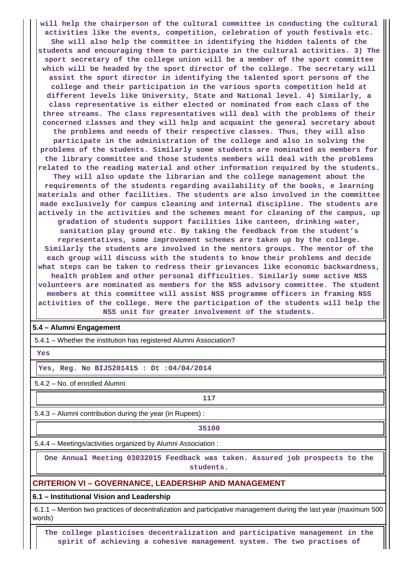**will help the chairperson of the cultural committee in conducting the cultural activities like the events, competition, celebration of youth festivals etc. She will also help the committee in identifying the hidden talents of the students and encouraging them to participate in the cultural activities. 3) The sport secretary of the college union will be a member of the sport committee which will be headed by the sport director of the college. The secretary will assist the sport director in identifying the talented sport persons of the college and their participation in the various sports competition held at different levels like University, State and National level. 4) Similarly, a class representative is either elected or nominated from each class of the three streams. The class representatives will deal with the problems of their concerned classes and they will help and acquaint the general secretary about the problems and needs of their respective classes. Thus, they will also participate in the administration of the college and also in solving the problems of the students. Similarly some students are nominated as members for the library committee and those students members will deal with the problems related to the reading material and other information required by the students. They will also update the librarian and the college management about the requirements of the students regarding availability of the books, e learning materials and other facilities. The students are also involved in the committee made exclusively for campus cleaning and internal discipline. The students are actively in the activities and the schemes meant for cleaning of the campus, up gradation of students support facilities like canteen, drinking water, sanitation play ground etc. By taking the feedback from the student's representatives, some improvement schemes are taken up by the college. Similarly the students are involved in the mentors groups. The mentor of the each group will discuss with the students to know their problems and decide what steps can be taken to redress their grievances like economic backwardness, health problem and other personal difficulties. Similarly some active NSS volunteers are nominated as members for the NSS advisory committee. The student members at this committee will assist NSS programme officers in framing NSS activities of the college. Here the participation of the students will help the NSS unit for greater involvement of the students.**

#### **5.4 – Alumni Engagement**

5.4.1 – Whether the institution has registered Alumni Association?

 **Yes**

#### **Yes, Reg. No BIJS201415 : Dt :04/04/2014**

5.4.2 – No. of enrolled Alumni:

# **117**

5.4.3 – Alumni contribution during the year (in Rupees) :

**35100**

5.4.4 – Meetings/activities organized by Alumni Association :

 **One Annual Meeting 03032015 Feedback was taken. Assured job prospects to the students.**

## **CRITERION VI – GOVERNANCE, LEADERSHIP AND MANAGEMENT**

**6.1 – Institutional Vision and Leadership**

 6.1.1 – Mention two practices of decentralization and participative management during the last year (maximum 500 words)

 **The college plasticises decentralization and participative management in the spirit of achieving a cohesive management system. The two practises of**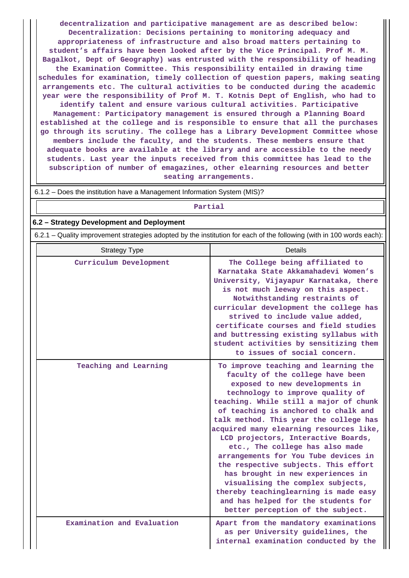**decentralization and participative management are as described below: Decentralization: Decisions pertaining to monitoring adequacy and appropriateness of infrastructure and also broad matters pertaining to student's affairs have been looked after by the Vice Principal. Prof M. M. Bagalkot, Dept of Geography) was entrusted with the responsibility of heading the Examination Committee. This responsibility entailed in drawing time schedules for examination, timely collection of question papers, making seating arrangements etc. The cultural activities to be conducted during the academic year were the responsibility of Prof M. T. Kotnis Dept of English, who had to identify talent and ensure various cultural activities. Participative**

**Management: Participatory management is ensured through a Planning Board established at the college and is responsible to ensure that all the purchases go through its scrutiny. The college has a Library Development Committee whose members include the faculty, and the students. These members ensure that adequate books are available at the library and are accessible to the needy students. Last year the inputs received from this committee has lead to the subscription of number of emagazines, other elearning resources and better seating arrangements.**

6.1.2 – Does the institution have a Management Information System (MIS)?

#### **Partial**

#### **6.2 – Strategy Development and Deployment**

6.2.1 – Quality improvement strategies adopted by the institution for each of the following (with in 100 words each):

| <b>Strategy Type</b>       | Details                                                                                                                                                                                                                                                                                                                                                                                                                                                                                                                                                                                                                                                                        |
|----------------------------|--------------------------------------------------------------------------------------------------------------------------------------------------------------------------------------------------------------------------------------------------------------------------------------------------------------------------------------------------------------------------------------------------------------------------------------------------------------------------------------------------------------------------------------------------------------------------------------------------------------------------------------------------------------------------------|
| Curriculum Development     | The College being affiliated to<br>Karnataka State Akkamahadevi Women's<br>University, Vijayapur Karnataka, there<br>is not much leeway on this aspect.<br>Notwithstanding restraints of<br>curricular development the college has<br>strived to include value added,<br>certificate courses and field studies<br>and buttressing existing syllabus with<br>student activities by sensitizing them<br>to issues of social concern.                                                                                                                                                                                                                                             |
| Teaching and Learning      | To improve teaching and learning the<br>faculty of the college have been<br>exposed to new developments in<br>technology to improve quality of<br>teaching. While still a major of chunk<br>of teaching is anchored to chalk and<br>talk method. This year the college has<br>acquired many elearning resources like,<br>LCD projectors, Interactive Boards,<br>etc., The college has also made<br>arrangements for You Tube devices in<br>the respective subjects. This effort<br>has brought in new experiences in<br>visualising the complex subjects,<br>thereby teachinglearning is made easy<br>and has helped for the students for<br>better perception of the subject. |
| Examination and Evaluation | Apart from the mandatory examinations<br>as per University guidelines, the<br>internal examination conducted by the                                                                                                                                                                                                                                                                                                                                                                                                                                                                                                                                                            |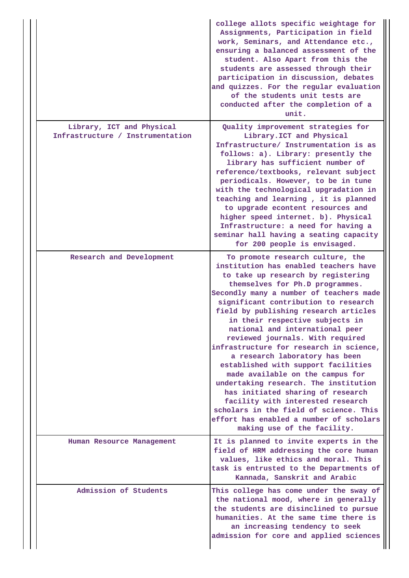|                                                               | college allots specific weightage for<br>Assignments, Participation in field<br>work, Seminars, and Attendance etc.,<br>ensuring a balanced assessment of the<br>student. Also Apart from this the<br>students are assessed through their<br>participation in discussion, debates<br>and quizzes. For the regular evaluation<br>of the students unit tests are<br>conducted after the completion of a<br>unit.                                                                                                                                                                                                                                                                                                                                                                          |
|---------------------------------------------------------------|-----------------------------------------------------------------------------------------------------------------------------------------------------------------------------------------------------------------------------------------------------------------------------------------------------------------------------------------------------------------------------------------------------------------------------------------------------------------------------------------------------------------------------------------------------------------------------------------------------------------------------------------------------------------------------------------------------------------------------------------------------------------------------------------|
| Library, ICT and Physical<br>Infrastructure / Instrumentation | Quality improvement strategies for<br>Library. ICT and Physical<br>Infrastructure/ Instrumentation is as<br>follows: a). Library: presently the<br>library has sufficient number of<br>reference/textbooks, relevant subject<br>periodicals. However, to be in tune<br>with the technological upgradation in<br>teaching and learning, it is planned<br>to upgrade econtent resources and<br>higher speed internet. b). Physical<br>Infrastructure: a need for having a<br>seminar hall having a seating capacity<br>for 200 people is envisaged.                                                                                                                                                                                                                                       |
| Research and Development                                      | To promote research culture, the<br>institution has enabled teachers have<br>to take up research by registering<br>themselves for Ph.D programmes.<br>Secondly many a number of teachers made<br>significant contribution to research<br>field by publishing research articles<br>in their respective subjects in<br>national and international peer<br>reviewed journals. With required<br>infrastructure for research in science,<br>a research laboratory has been<br>established with support facilities<br>made available on the campus for<br>undertaking research. The institution<br>has initiated sharing of research<br>facility with interested research<br>scholars in the field of science. This<br>effort has enabled a number of scholars<br>making use of the facility. |
| Human Resource Management                                     | It is planned to invite experts in the<br>field of HRM addressing the core human<br>values, like ethics and moral. This<br>task is entrusted to the Departments of<br>Kannada, Sanskrit and Arabic                                                                                                                                                                                                                                                                                                                                                                                                                                                                                                                                                                                      |
| Admission of Students                                         | This college has come under the sway of<br>the national mood, where in generally<br>the students are disinclined to pursue<br>humanities. At the same time there is<br>an increasing tendency to seek<br>admission for core and applied sciences                                                                                                                                                                                                                                                                                                                                                                                                                                                                                                                                        |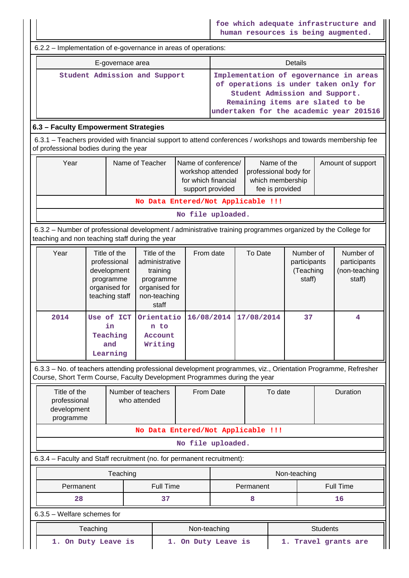|                                                                                                                                                                                            |                                                                                             |                                                 |                                                                                                   | foe which adequate infrastructure and<br>human resources is being augmented. |                                                                                                                                                                                                  |                |                   |                                                  |                  |                                                      |  |
|--------------------------------------------------------------------------------------------------------------------------------------------------------------------------------------------|---------------------------------------------------------------------------------------------|-------------------------------------------------|---------------------------------------------------------------------------------------------------|------------------------------------------------------------------------------|--------------------------------------------------------------------------------------------------------------------------------------------------------------------------------------------------|----------------|-------------------|--------------------------------------------------|------------------|------------------------------------------------------|--|
| 6.2.2 – Implementation of e-governance in areas of operations:                                                                                                                             |                                                                                             |                                                 |                                                                                                   |                                                                              |                                                                                                                                                                                                  |                |                   |                                                  |                  |                                                      |  |
| E-governace area                                                                                                                                                                           |                                                                                             |                                                 |                                                                                                   |                                                                              |                                                                                                                                                                                                  | <b>Details</b> |                   |                                                  |                  |                                                      |  |
| Student Admission and Support                                                                                                                                                              |                                                                                             |                                                 |                                                                                                   |                                                                              | Implementation of egovernance in areas<br>of operations is under taken only for<br>Student Admission and Support.<br>Remaining items are slated to be<br>undertaken for the academic year 201516 |                |                   |                                                  |                  |                                                      |  |
| 6.3 - Faculty Empowerment Strategies                                                                                                                                                       |                                                                                             |                                                 |                                                                                                   |                                                                              |                                                                                                                                                                                                  |                |                   |                                                  |                  |                                                      |  |
| 6.3.1 – Teachers provided with financial support to attend conferences / workshops and towards membership fee<br>of professional bodies during the year                                    |                                                                                             |                                                 |                                                                                                   |                                                                              |                                                                                                                                                                                                  |                |                   |                                                  |                  |                                                      |  |
| Year                                                                                                                                                                                       |                                                                                             | Name of Teacher                                 | Name of conference/<br>workshop attended<br>for which financial<br>support provided               |                                                                              | Name of the<br>professional body for<br>which membership<br>fee is provided                                                                                                                      |                | Amount of support |                                                  |                  |                                                      |  |
|                                                                                                                                                                                            |                                                                                             |                                                 | No Data Entered/Not Applicable !!!                                                                |                                                                              |                                                                                                                                                                                                  |                |                   |                                                  |                  |                                                      |  |
|                                                                                                                                                                                            |                                                                                             |                                                 |                                                                                                   | No file uploaded.                                                            |                                                                                                                                                                                                  |                |                   |                                                  |                  |                                                      |  |
| 6.3.2 - Number of professional development / administrative training programmes organized by the College for<br>teaching and non teaching staff during the year                            |                                                                                             |                                                 |                                                                                                   |                                                                              |                                                                                                                                                                                                  |                |                   |                                                  |                  |                                                      |  |
| Year                                                                                                                                                                                       | Title of the<br>professional<br>development<br>programme<br>organised for<br>teaching staff |                                                 | Title of the<br>administrative<br>training<br>programme<br>organised for<br>non-teaching<br>staff |                                                                              | From date                                                                                                                                                                                        | To Date        |                   | Number of<br>participants<br>(Teaching<br>staff) |                  | Number of<br>participants<br>(non-teaching<br>staff) |  |
| 2014                                                                                                                                                                                       |                                                                                             | Use of ICT<br>in<br>Teaching<br>and<br>Learning | Orientatio<br>n to<br>Account<br>Writing                                                          | 16/08/2014                                                                   |                                                                                                                                                                                                  | 17/08/2014     | 37                |                                                  |                  | 4                                                    |  |
| 6.3.3 - No. of teachers attending professional development programmes, viz., Orientation Programme, Refresher<br>Course, Short Term Course, Faculty Development Programmes during the year |                                                                                             |                                                 |                                                                                                   |                                                                              |                                                                                                                                                                                                  |                |                   |                                                  |                  |                                                      |  |
| Title of the<br>professional<br>development<br>programme                                                                                                                                   |                                                                                             | Number of teachers<br>who attended              | From Date                                                                                         |                                                                              |                                                                                                                                                                                                  | To date        |                   | Duration                                         |                  |                                                      |  |
| No Data Entered/Not Applicable !!!                                                                                                                                                         |                                                                                             |                                                 |                                                                                                   |                                                                              |                                                                                                                                                                                                  |                |                   |                                                  |                  |                                                      |  |
| No file uploaded.                                                                                                                                                                          |                                                                                             |                                                 |                                                                                                   |                                                                              |                                                                                                                                                                                                  |                |                   |                                                  |                  |                                                      |  |
| 6.3.4 - Faculty and Staff recruitment (no. for permanent recruitment):                                                                                                                     |                                                                                             |                                                 |                                                                                                   |                                                                              |                                                                                                                                                                                                  |                |                   |                                                  |                  |                                                      |  |
| Teaching                                                                                                                                                                                   |                                                                                             |                                                 |                                                                                                   |                                                                              |                                                                                                                                                                                                  | Non-teaching   |                   |                                                  |                  |                                                      |  |
| Permanent                                                                                                                                                                                  |                                                                                             |                                                 | <b>Full Time</b>                                                                                  |                                                                              | Permanent                                                                                                                                                                                        |                |                   |                                                  | <b>Full Time</b> |                                                      |  |
| 28<br>6.3.5 - Welfare schemes for                                                                                                                                                          |                                                                                             |                                                 | 37                                                                                                |                                                                              |                                                                                                                                                                                                  | 8              |                   |                                                  |                  | 16                                                   |  |
|                                                                                                                                                                                            | Teaching                                                                                    |                                                 |                                                                                                   |                                                                              |                                                                                                                                                                                                  |                |                   |                                                  | <b>Students</b>  |                                                      |  |
| Non-teaching<br>1. On Duty Leave is<br>1. Travel grants are<br>1. On Duty Leave is                                                                                                         |                                                                                             |                                                 |                                                                                                   |                                                                              |                                                                                                                                                                                                  |                |                   |                                                  |                  |                                                      |  |
|                                                                                                                                                                                            |                                                                                             |                                                 |                                                                                                   |                                                                              |                                                                                                                                                                                                  |                |                   |                                                  |                  |                                                      |  |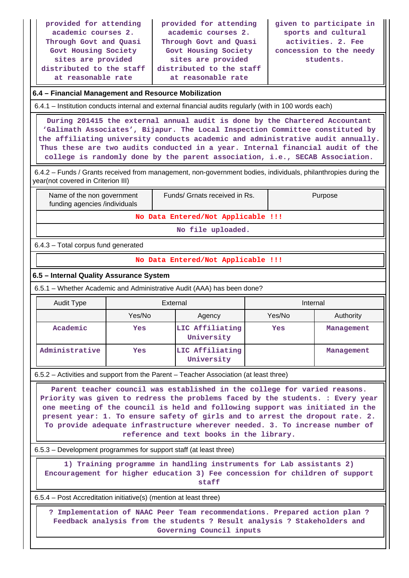| provided for attending<br>academic courses 2.<br>Through Govt and Quasi<br>Govt Housing Society<br>sites are provided<br>distributed to the staff<br>at reasonable rate                                                                                                                                                                                                                                                                                   |                                                                                                        | provided for attending<br>academic courses 2.<br>Through Govt and Quasi<br>Govt Housing Society<br>sites are provided<br>distributed to the staff<br>at reasonable rate |            | given to participate in<br>sports and cultural<br>activities. 2. Fee<br>concession to the needy<br>students. |  |  |  |  |  |  |
|-----------------------------------------------------------------------------------------------------------------------------------------------------------------------------------------------------------------------------------------------------------------------------------------------------------------------------------------------------------------------------------------------------------------------------------------------------------|--------------------------------------------------------------------------------------------------------|-------------------------------------------------------------------------------------------------------------------------------------------------------------------------|------------|--------------------------------------------------------------------------------------------------------------|--|--|--|--|--|--|
| 6.4 - Financial Management and Resource Mobilization                                                                                                                                                                                                                                                                                                                                                                                                      |                                                                                                        |                                                                                                                                                                         |            |                                                                                                              |  |  |  |  |  |  |
|                                                                                                                                                                                                                                                                                                                                                                                                                                                           | 6.4.1 – Institution conducts internal and external financial audits regularly (with in 100 words each) |                                                                                                                                                                         |            |                                                                                                              |  |  |  |  |  |  |
| During 201415 the external annual audit is done by the Chartered Accountant<br>'Galimath Associates', Bijapur. The Local Inspection Committee constituted by<br>the affiliating university conducts academic and administrative audit annually.<br>Thus these are two audits conducted in a year. Internal financial audit of the<br>college is randomly done by the parent association, i.e., SECAB Association.                                         |                                                                                                        |                                                                                                                                                                         |            |                                                                                                              |  |  |  |  |  |  |
| 6.4.2 - Funds / Grants received from management, non-government bodies, individuals, philanthropies during the<br>year(not covered in Criterion III)                                                                                                                                                                                                                                                                                                      |                                                                                                        |                                                                                                                                                                         |            |                                                                                                              |  |  |  |  |  |  |
| Funds/ Grnats received in Rs.<br>Name of the non government<br>Purpose<br>funding agencies /individuals                                                                                                                                                                                                                                                                                                                                                   |                                                                                                        |                                                                                                                                                                         |            |                                                                                                              |  |  |  |  |  |  |
|                                                                                                                                                                                                                                                                                                                                                                                                                                                           |                                                                                                        | No Data Entered/Not Applicable !!!                                                                                                                                      |            |                                                                                                              |  |  |  |  |  |  |
|                                                                                                                                                                                                                                                                                                                                                                                                                                                           |                                                                                                        | No file uploaded.                                                                                                                                                       |            |                                                                                                              |  |  |  |  |  |  |
| 6.4.3 - Total corpus fund generated                                                                                                                                                                                                                                                                                                                                                                                                                       |                                                                                                        |                                                                                                                                                                         |            |                                                                                                              |  |  |  |  |  |  |
|                                                                                                                                                                                                                                                                                                                                                                                                                                                           |                                                                                                        | No Data Entered/Not Applicable !!!                                                                                                                                      |            |                                                                                                              |  |  |  |  |  |  |
| 6.5 - Internal Quality Assurance System                                                                                                                                                                                                                                                                                                                                                                                                                   |                                                                                                        |                                                                                                                                                                         |            |                                                                                                              |  |  |  |  |  |  |
| 6.5.1 – Whether Academic and Administrative Audit (AAA) has been done?                                                                                                                                                                                                                                                                                                                                                                                    |                                                                                                        |                                                                                                                                                                         |            |                                                                                                              |  |  |  |  |  |  |
| <b>Audit Type</b>                                                                                                                                                                                                                                                                                                                                                                                                                                         | External                                                                                               |                                                                                                                                                                         |            | Internal                                                                                                     |  |  |  |  |  |  |
|                                                                                                                                                                                                                                                                                                                                                                                                                                                           | Yes/No                                                                                                 | Agency                                                                                                                                                                  | Yes/No     | Authority                                                                                                    |  |  |  |  |  |  |
| Academic                                                                                                                                                                                                                                                                                                                                                                                                                                                  | Yes                                                                                                    | LIC Affiliating<br>University                                                                                                                                           | <b>Yes</b> | Management                                                                                                   |  |  |  |  |  |  |
| Administrative                                                                                                                                                                                                                                                                                                                                                                                                                                            | Yes                                                                                                    | LIC Affiliating<br>University                                                                                                                                           |            | Management                                                                                                   |  |  |  |  |  |  |
| 6.5.2 – Activities and support from the Parent – Teacher Association (at least three)                                                                                                                                                                                                                                                                                                                                                                     |                                                                                                        |                                                                                                                                                                         |            |                                                                                                              |  |  |  |  |  |  |
| Parent teacher council was established in the college for varied reasons.<br>Priority was given to redress the problems faced by the students. : Every year<br>one meeting of the council is held and following support was initiated in the<br>present year: 1. To ensure safety of girls and to arrest the dropout rate. 2.<br>To provide adequate infrastructure wherever needed. 3. To increase number of<br>reference and text books in the library. |                                                                                                        |                                                                                                                                                                         |            |                                                                                                              |  |  |  |  |  |  |
| 6.5.3 – Development programmes for support staff (at least three)                                                                                                                                                                                                                                                                                                                                                                                         |                                                                                                        |                                                                                                                                                                         |            |                                                                                                              |  |  |  |  |  |  |
| 1) Training programme in handling instruments for Lab assistants 2)<br>Encouragement for higher education 3) Fee concession for children of support<br>staff                                                                                                                                                                                                                                                                                              |                                                                                                        |                                                                                                                                                                         |            |                                                                                                              |  |  |  |  |  |  |
|                                                                                                                                                                                                                                                                                                                                                                                                                                                           | 6.5.4 – Post Accreditation initiative(s) (mention at least three)                                      |                                                                                                                                                                         |            |                                                                                                              |  |  |  |  |  |  |
| ? Implementation of NAAC Peer Team recommendations. Prepared action plan ?<br>Feedback analysis from the students ? Result analysis ? Stakeholders and<br>Governing Council inputs                                                                                                                                                                                                                                                                        |                                                                                                        |                                                                                                                                                                         |            |                                                                                                              |  |  |  |  |  |  |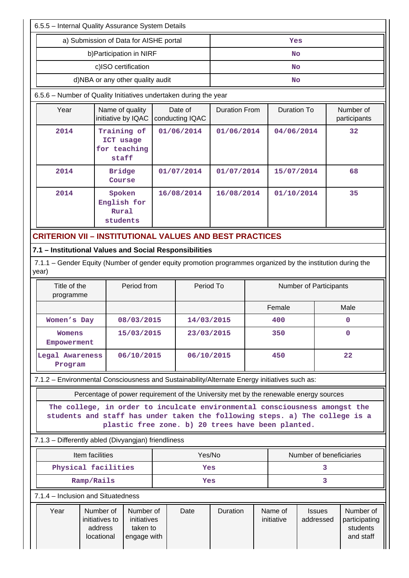| 6.5.5 - Internal Quality Assurance System Details                                                                                                                                                              |                                     |                                                   |            |                            |                                                                                       |            |                         |                            |                                                     |  |
|----------------------------------------------------------------------------------------------------------------------------------------------------------------------------------------------------------------|-------------------------------------|---------------------------------------------------|------------|----------------------------|---------------------------------------------------------------------------------------|------------|-------------------------|----------------------------|-----------------------------------------------------|--|
| a) Submission of Data for AISHE portal                                                                                                                                                                         | Yes                                 |                                                   |            |                            |                                                                                       |            |                         |                            |                                                     |  |
|                                                                                                                                                                                                                |                                     | No                                                |            |                            |                                                                                       |            |                         |                            |                                                     |  |
|                                                                                                                                                                                                                |                                     | No                                                |            |                            |                                                                                       |            |                         |                            |                                                     |  |
| d)NBA or any other quality audit                                                                                                                                                                               |                                     | No                                                |            |                            |                                                                                       |            |                         |                            |                                                     |  |
| 6.5.6 - Number of Quality Initiatives undertaken during the year                                                                                                                                               |                                     |                                                   |            |                            |                                                                                       |            |                         |                            |                                                     |  |
| Year                                                                                                                                                                                                           |                                     | Name of quality<br>initiative by IQAC             |            | Date of<br>conducting IQAC | <b>Duration From</b>                                                                  |            | <b>Duration To</b>      |                            | Number of<br>participants                           |  |
| 2014                                                                                                                                                                                                           |                                     | Training of<br>ICT usage<br>for teaching<br>staff |            | 01/06/2014                 | 01/06/2014                                                                            |            | 04/06/2014              |                            | 32                                                  |  |
| 2014                                                                                                                                                                                                           |                                     | <b>Bridge</b><br>Course                           |            | 01/07/2014                 |                                                                                       | 01/07/2014 |                         | 15/07/2014                 | 68                                                  |  |
| 2014                                                                                                                                                                                                           |                                     | Spoken<br>English for<br>Rural<br>students        |            | 16/08/2014                 | 16/08/2014                                                                            |            | 01/10/2014              |                            | 35                                                  |  |
| <b>CRITERION VII – INSTITUTIONAL VALUES AND BEST PRACTICES</b>                                                                                                                                                 |                                     |                                                   |            |                            |                                                                                       |            |                         |                            |                                                     |  |
| 7.1 - Institutional Values and Social Responsibilities                                                                                                                                                         |                                     |                                                   |            |                            |                                                                                       |            |                         |                            |                                                     |  |
| 7.1.1 – Gender Equity (Number of gender equity promotion programmes organized by the institution during the<br>year)                                                                                           |                                     |                                                   |            |                            |                                                                                       |            |                         |                            |                                                     |  |
| Title of the<br>Period from<br>programme                                                                                                                                                                       |                                     |                                                   |            | Period To                  |                                                                                       |            |                         | Number of Participants     |                                                     |  |
|                                                                                                                                                                                                                |                                     |                                                   |            |                            |                                                                                       |            | Female                  |                            | Male                                                |  |
| Women's Day                                                                                                                                                                                                    |                                     | 08/03/2015                                        |            | 14/03/2015                 |                                                                                       |            | 400                     |                            | 0                                                   |  |
|                                                                                                                                                                                                                | 15/03/2015<br>Womens<br>Empowerment |                                                   | 23/03/2015 |                            | 350                                                                                   |            |                         | $\mathbf 0$                |                                                     |  |
| Legal Awareness<br>06/10/2015<br>Program                                                                                                                                                                       |                                     |                                                   | 06/10/2015 |                            | 450                                                                                   |            | 22                      |                            |                                                     |  |
| 7.1.2 - Environmental Consciousness and Sustainability/Alternate Energy initiatives such as:                                                                                                                   |                                     |                                                   |            |                            |                                                                                       |            |                         |                            |                                                     |  |
|                                                                                                                                                                                                                |                                     |                                                   |            |                            | Percentage of power requirement of the University met by the renewable energy sources |            |                         |                            |                                                     |  |
| The college, in order to inculcate environmental consciousness amongst the<br>students and staff has under taken the following steps. a) The college is a<br>plastic free zone. b) 20 trees have been planted. |                                     |                                                   |            |                            |                                                                                       |            |                         |                            |                                                     |  |
| 7.1.3 - Differently abled (Divyangjan) friendliness                                                                                                                                                            |                                     |                                                   |            |                            |                                                                                       |            |                         |                            |                                                     |  |
| Item facilities                                                                                                                                                                                                |                                     |                                                   |            |                            | Yes/No                                                                                |            | Number of beneficiaries |                            |                                                     |  |
| Physical facilities                                                                                                                                                                                            |                                     |                                                   | Yes        |                            |                                                                                       | 3          |                         |                            |                                                     |  |
| Ramp/Rails                                                                                                                                                                                                     |                                     |                                                   | Yes        |                            |                                                                                       | 3          |                         |                            |                                                     |  |
| 7.1.4 - Inclusion and Situatedness                                                                                                                                                                             |                                     |                                                   |            |                            |                                                                                       |            |                         |                            |                                                     |  |
| Number of<br>Number of<br>Year<br>initiatives to<br>initiatives<br>taken to<br>address<br>locational<br>engage with                                                                                            |                                     |                                                   |            | Date                       | Duration                                                                              |            | Name of<br>initiative   | <b>Issues</b><br>addressed | Number of<br>participating<br>students<br>and staff |  |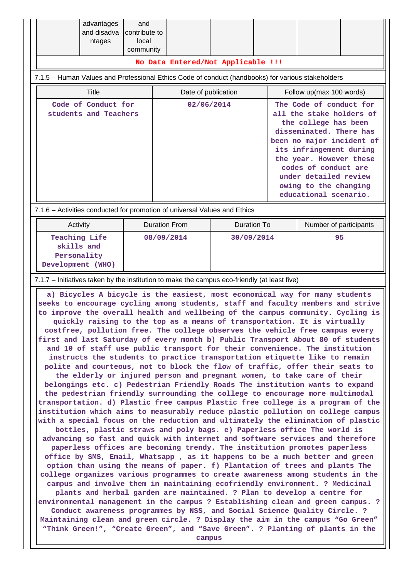| advantages<br>and disadva<br>ntages                                                                                                                                                                                                                                                                                                                                                                                                                                                                                                                                                                                                                                                                                                                                                                                                                                                                                                                                                                                                                                                                                                                                                                                                                                                                                                                                                                                                                                                                                                                                                                                                                                                                                                                                                                                                                                                                                                                                                                                                                                                                                                                                                                                                                                                                                                     | and<br>contribute to<br>local<br>community |                     | No Data Entered/Not Applicable !!! |  |                                                                                                                                                                                                                                                                                              |  |  |  |  |
|-----------------------------------------------------------------------------------------------------------------------------------------------------------------------------------------------------------------------------------------------------------------------------------------------------------------------------------------------------------------------------------------------------------------------------------------------------------------------------------------------------------------------------------------------------------------------------------------------------------------------------------------------------------------------------------------------------------------------------------------------------------------------------------------------------------------------------------------------------------------------------------------------------------------------------------------------------------------------------------------------------------------------------------------------------------------------------------------------------------------------------------------------------------------------------------------------------------------------------------------------------------------------------------------------------------------------------------------------------------------------------------------------------------------------------------------------------------------------------------------------------------------------------------------------------------------------------------------------------------------------------------------------------------------------------------------------------------------------------------------------------------------------------------------------------------------------------------------------------------------------------------------------------------------------------------------------------------------------------------------------------------------------------------------------------------------------------------------------------------------------------------------------------------------------------------------------------------------------------------------------------------------------------------------------------------------------------------------|--------------------------------------------|---------------------|------------------------------------|--|----------------------------------------------------------------------------------------------------------------------------------------------------------------------------------------------------------------------------------------------------------------------------------------------|--|--|--|--|
| 7.1.5 - Human Values and Professional Ethics Code of conduct (handbooks) for various stakeholders                                                                                                                                                                                                                                                                                                                                                                                                                                                                                                                                                                                                                                                                                                                                                                                                                                                                                                                                                                                                                                                                                                                                                                                                                                                                                                                                                                                                                                                                                                                                                                                                                                                                                                                                                                                                                                                                                                                                                                                                                                                                                                                                                                                                                                       |                                            |                     |                                    |  |                                                                                                                                                                                                                                                                                              |  |  |  |  |
| <b>Title</b>                                                                                                                                                                                                                                                                                                                                                                                                                                                                                                                                                                                                                                                                                                                                                                                                                                                                                                                                                                                                                                                                                                                                                                                                                                                                                                                                                                                                                                                                                                                                                                                                                                                                                                                                                                                                                                                                                                                                                                                                                                                                                                                                                                                                                                                                                                                            |                                            | Date of publication |                                    |  | Follow up(max 100 words)                                                                                                                                                                                                                                                                     |  |  |  |  |
| Code of Conduct for<br>students and Teachers                                                                                                                                                                                                                                                                                                                                                                                                                                                                                                                                                                                                                                                                                                                                                                                                                                                                                                                                                                                                                                                                                                                                                                                                                                                                                                                                                                                                                                                                                                                                                                                                                                                                                                                                                                                                                                                                                                                                                                                                                                                                                                                                                                                                                                                                                            |                                            | 02/06/2014          |                                    |  | The Code of conduct for<br>all the stake holders of<br>the college has been<br>disseminated. There has<br>been no major incident of<br>its infringement during<br>the year. However these<br>codes of conduct are<br>under detailed review<br>owing to the changing<br>educational scenario. |  |  |  |  |
| 7.1.6 - Activities conducted for promotion of universal Values and Ethics                                                                                                                                                                                                                                                                                                                                                                                                                                                                                                                                                                                                                                                                                                                                                                                                                                                                                                                                                                                                                                                                                                                                                                                                                                                                                                                                                                                                                                                                                                                                                                                                                                                                                                                                                                                                                                                                                                                                                                                                                                                                                                                                                                                                                                                               |                                            |                     |                                    |  |                                                                                                                                                                                                                                                                                              |  |  |  |  |
| Activity                                                                                                                                                                                                                                                                                                                                                                                                                                                                                                                                                                                                                                                                                                                                                                                                                                                                                                                                                                                                                                                                                                                                                                                                                                                                                                                                                                                                                                                                                                                                                                                                                                                                                                                                                                                                                                                                                                                                                                                                                                                                                                                                                                                                                                                                                                                                | <b>Duration From</b>                       |                     | <b>Duration To</b>                 |  | Number of participants                                                                                                                                                                                                                                                                       |  |  |  |  |
| <b>Teaching Life</b><br>skills and<br>Personality<br>Development (WHO)                                                                                                                                                                                                                                                                                                                                                                                                                                                                                                                                                                                                                                                                                                                                                                                                                                                                                                                                                                                                                                                                                                                                                                                                                                                                                                                                                                                                                                                                                                                                                                                                                                                                                                                                                                                                                                                                                                                                                                                                                                                                                                                                                                                                                                                                  | 08/09/2014                                 |                     | 30/09/2014                         |  | 95                                                                                                                                                                                                                                                                                           |  |  |  |  |
|                                                                                                                                                                                                                                                                                                                                                                                                                                                                                                                                                                                                                                                                                                                                                                                                                                                                                                                                                                                                                                                                                                                                                                                                                                                                                                                                                                                                                                                                                                                                                                                                                                                                                                                                                                                                                                                                                                                                                                                                                                                                                                                                                                                                                                                                                                                                         |                                            |                     |                                    |  |                                                                                                                                                                                                                                                                                              |  |  |  |  |
| 7.1.7 – Initiatives taken by the institution to make the campus eco-friendly (at least five)<br>a) Bicycles A bicycle is the easiest, most economical way for many students<br>seeks to encourage cycling among students, staff and faculty members and strive<br>to improve the overall health and wellbeing of the campus community. Cycling is<br>quickly raising to the top as a means of transportation. It is virtually<br>costfree, pollution free. The college observes the vehicle free campus every<br>first and last Saturday of every month b) Public Transport About 80 of students<br>and 10 of staff use public transport for their convenience. The institution<br>instructs the students to practice transportation etiquette like to remain<br>polite and courteous, not to block the flow of traffic, offer their seats to<br>the elderly or injured person and pregnant women, to take care of their<br>belongings etc. c) Pedestrian Friendly Roads The institution wants to expand<br>the pedestrian friendly surrounding the college to encourage more multimodal<br>transportation. d) Plastic free campus Plastic free college is a program of the<br>institution which aims to measurably reduce plastic pollution on college campus<br>with a special focus on the reduction and ultimately the elimination of plastic<br>bottles, plastic straws and poly bags. e) Paperless office The world is<br>advancing so fast and quick with internet and software services and therefore<br>paperless offices are becoming trendy. The institution promotes paperless<br>office by SMS, Email, Whatsapp, as it happens to be a much better and green<br>option than using the means of paper. f) Plantation of trees and plants The<br>college organizes various programmes to create awareness among students in the<br>campus and involve them in maintaining ecofriendly environment. ? Medicinal<br>plants and herbal garden are maintained. ? Plan to develop a centre for<br>environmental management in the campus ? Establishing clean and green campus. ?<br>Conduct awareness programmes by NSS, and Social Science Quality Circle. ?<br>Maintaining clean and green circle. ? Display the aim in the campus "Go Green"<br>"Think Green!", "Create Green", and "Save Green". ? Planting of plants in the |                                            |                     |                                    |  |                                                                                                                                                                                                                                                                                              |  |  |  |  |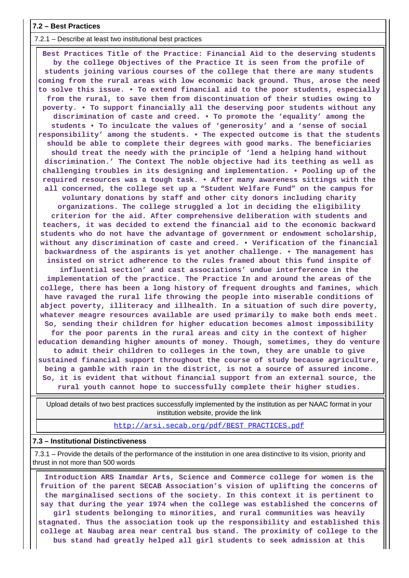#### **7.2 – Best Practices**

7.2.1 – Describe at least two institutional best practices

 **Best Practices Title of the Practice: Financial Aid to the deserving students by the college Objectives of the Practice It is seen from the profile of students joining various courses of the college that there are many students coming from the rural areas with low economic back ground. Thus, arose the need to solve this issue. • To extend financial aid to the poor students, especially from the rural, to save them from discontinuation of their studies owing to poverty. • To support financially all the deserving poor students without any discrimination of caste and creed. • To promote the 'equality' among the students • To inculcate the values of 'generosity' and a 'sense of social responsibility' among the students. • The expected outcome is that the students should be able to complete their degrees with good marks. The beneficiaries should treat the needy with the principle of 'lend a helping hand without discrimination.' The Context The noble objective had its teething as well as challenging troubles in its designing and implementation. • Pooling up of the required resources was a tough task. • After many awareness sittings with the all concerned, the college set up a "Student Welfare Fund" on the campus for voluntary donations by staff and other city donors including charity organizations. The college struggled a lot in deciding the eligibility criterion for the aid. After comprehensive deliberation with students and teachers, it was decided to extend the financial aid to the economic backward students who do not have the advantage of government or endowment scholarship, without any discrimination of caste and creed. • Verification of the financial backwardness of the aspirants is yet another challenge. • The management has insisted on strict adherence to the rules framed about this fund inspite of influential section' and cast associations' undue interference in the implementation of the practice. The Practice In and around the areas of the college, there has been a long history of frequent droughts and famines, which have ravaged the rural life throwing the people into miserable conditions of abject poverty, illiteracy and illhealth. In a situation of such dire poverty, whatever meagre resources available are used primarily to make both ends meet. So, sending their children for higher education becomes almost impossibility for the poor parents in the rural areas and city in the context of higher education demanding higher amounts of money. Though, sometimes, they do venture to admit their children to colleges in the town, they are unable to give sustained financial support throughout the course of study because agriculture, being a gamble with rain in the district, is not a source of assured income. So, it is evident that without financial support from an external source, the rural youth cannot hope to successfully complete their higher studies.**

 Upload details of two best practices successfully implemented by the institution as per NAAC format in your institution website, provide the link

[http://arsi.secab.org/pdf/BEST\\_PRACTICES.pdf](http://arsi.secab.org/pdf/BEST_PRACTICES.pdf)

#### **7.3 – Institutional Distinctiveness**

 7.3.1 – Provide the details of the performance of the institution in one area distinctive to its vision, priority and thrust in not more than 500 words

 **Introduction ARS Inamdar Arts, Science and Commerce college for women is the fruition of the parent SECAB Association's vision of uplifting the concerns of the marginalised sections of the society. In this context it is pertinent to say that during the year 1974 when the college was established the concerns of girl students belonging to minorities, and rural communities was heavily stagnated. Thus the association took up the responsibility and established this college at Naubag area near central bus stand. The proximity of college to the bus stand had greatly helped all girl students to seek admission at this**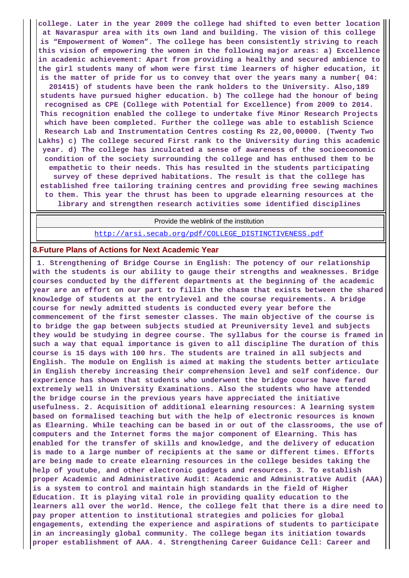**college. Later in the year 2009 the college had shifted to even better location at Navaraspur area with its own land and building. The vision of this college is "Empowerment of Women". The college has been consistently striving to reach this vision of empowering the women in the following major areas: a) Excellence in academic achievement: Apart from providing a healthy and secured ambience to the girl students many of whom were first time learners of higher education, it is the matter of pride for us to convey that over the years many a number( 04: 201415) of students have been the rank holders to the University. Also,189 students have pursued higher education. b) The college had the honour of being recognised as CPE (College with Potential for Excellence) from 2009 to 2014. This recognition enabled the college to undertake five Minor Research Projects which have been completed. Further the college was able to establish Science Research Lab and Instrumentation Centres costing Rs 22,00,00000. (Twenty Two Lakhs) c) The college secured First rank to the University during this academic year. d) The college has inculcated a sense of awareness of the socioeconomic condition of the society surrounding the college and has enthused them to be empathetic to their needs. This has resulted in the students participating survey of these deprived habitations. The result is that the college has established free tailoring training centres and providing free sewing machines to them. This year the thrust has been to upgrade elearning resources at the library and strengthen research activities some identified disciplines**

Provide the weblink of the institution

[http://arsi.secab.org/pdf/COLLEGE\\_DISTINCTIVENESS.pdf](http://arsi.secab.org/pdf/COLLEGE_DISTINCTIVENESS.pdf)

#### **8.Future Plans of Actions for Next Academic Year**

 **1. Strengthening of Bridge Course in English: The potency of our relationship with the students is our ability to gauge their strengths and weaknesses. Bridge courses conducted by the different departments at the beginning of the academic year are an effort on our part to fillin the chasm that exists between the shared knowledge of students at the entrylevel and the course requirements. A bridge course for newly admitted students is conducted every year before the commencement of the first semester classes. The main objective of the course is to bridge the gap between subjects studied at Preuniversity level and subjects they would be studying in degree course. The syllabus for the course is framed in such a way that equal importance is given to all discipline The duration of this course is 15 days with 100 hrs. The students are trained in all subjects and English. The module on English is aimed at making the students better articulate in English thereby increasing their comprehension level and self confidence. Our experience has shown that students who underwent the bridge course have fared extremely well in University Examinations. Also the students who have attended the bridge course in the previous years have appreciated the initiative usefulness. 2. Acquisition of additional elearning resources: A learning system based on formalised teaching but with the help of electronic resources is known as Elearning. While teaching can be based in or out of the classrooms, the use of computers and the Internet forms the major component of Elearning. This has enabled for the transfer of skills and knowledge, and the delivery of education is made to a large number of recipients at the same or different times. Efforts are being made to create elearning resources in the college besides taking the help of youtube, and other electronic gadgets and resources. 3. To establish proper Academic and Administrative Audit: Academic and Administrative Audit (AAA) is a system to control and maintain high standards in the field of Higher Education. It is playing vital role in providing quality education to the learners all over the world. Hence, the college felt that there is a dire need to pay proper attention to institutional strategies and policies for global engagements, extending the experience and aspirations of students to participate in an increasingly global community. The college began its initiation towards proper establishment of AAA. 4. Strengthening Career Guidance Cell: Career and**